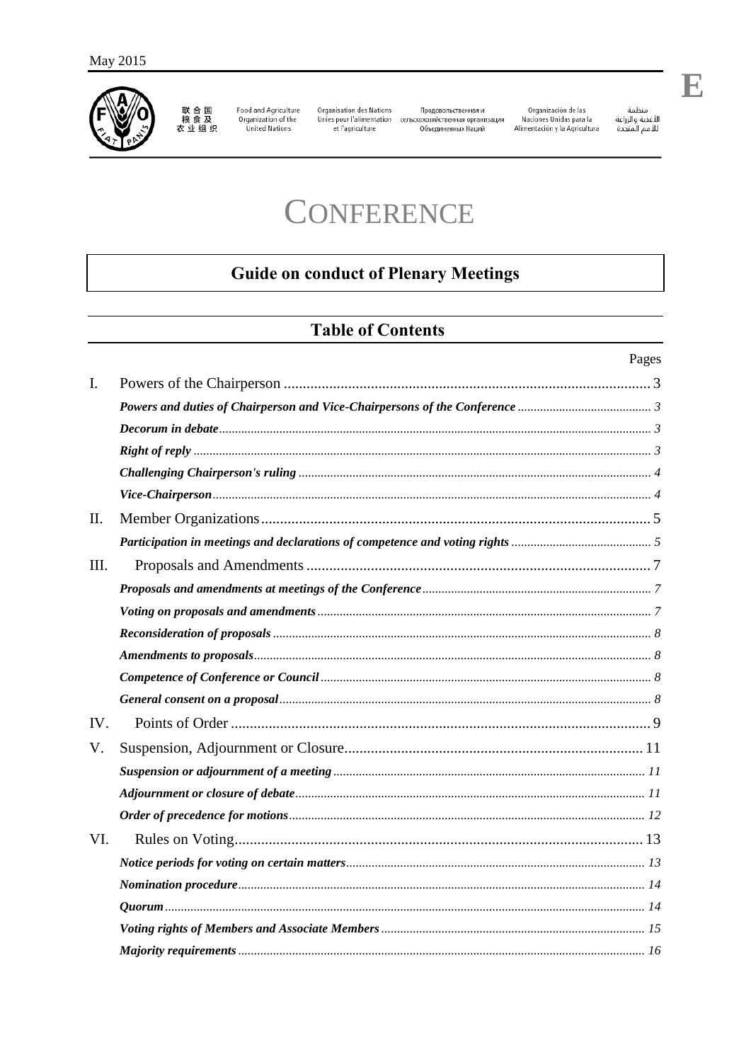

联合国<br>粮食及<br>农业组织

Food and Agriculture<br>Organization of the<br>United Nations

Organisation des Nations

Продовольственная и Unies pour l'alimentation сельскохозяйственная организация<br>et l'agriculture Объединенных Наций Organización de las<br>Naciones Unidas para la<br>Alimentación y la Agricultura

منظمة ستنته<br>اللـفذية والزراعة<br>لللـمم المتحدة

# **CONFERENCE**

# **Guide on conduct of Plenary Meetings**

# **Table of Contents**

|      | Pages |
|------|-------|
| I.   |       |
|      |       |
|      |       |
|      |       |
|      |       |
|      |       |
| II.  |       |
|      |       |
| III. |       |
|      |       |
|      |       |
|      |       |
|      |       |
|      |       |
|      |       |
| IV.  |       |
| V.   |       |
|      |       |
|      |       |
|      |       |
| VI.  |       |
|      |       |
|      |       |
|      |       |
|      |       |
|      |       |

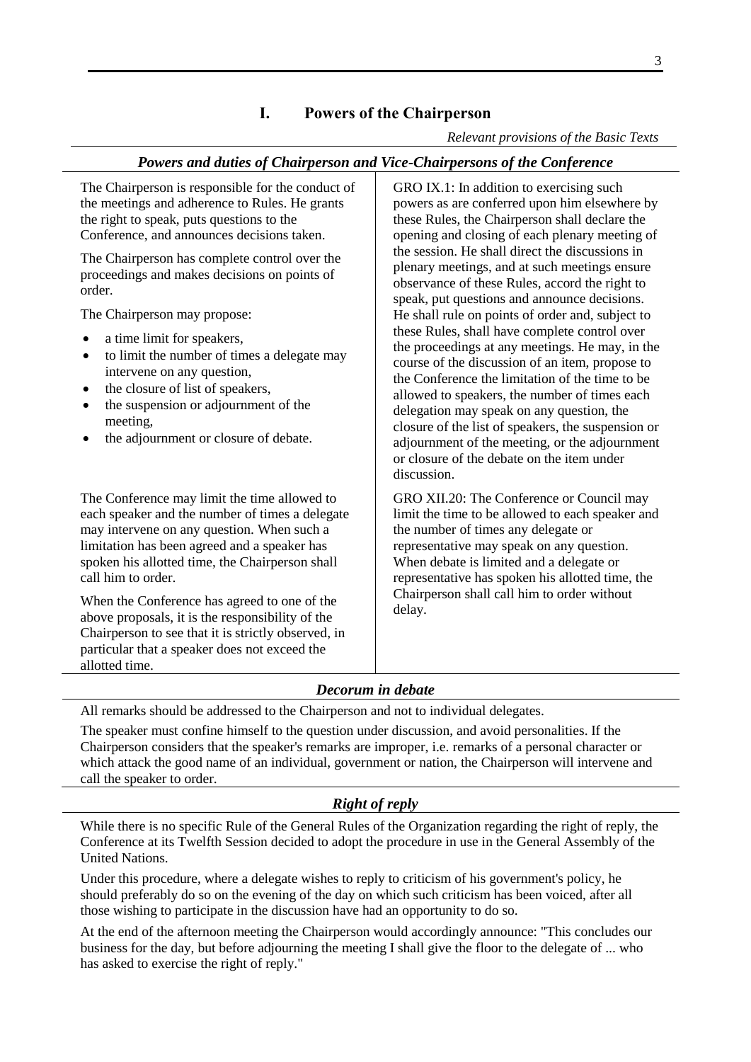# **I. Powers of the Chairperson**

*Relevant provisions of the Basic Texts*

#### <span id="page-2-0"></span>*Powers and duties of Chairperson and Vice-Chairpersons of the Conference*

<span id="page-2-1"></span>The Chairperson is responsible for the conduct of the meetings and adherence to Rules. He grants the right to speak, puts questions to the Conference, and announces decisions taken. The Chairperson has complete control over the proceedings and makes decisions on points of order. The Chairperson may propose: a time limit for speakers, to limit the number of times a delegate may intervene on any question, the closure of list of speakers, the suspension or adjournment of the meeting, the adjournment or closure of debate. GRO IX.1: In addition to exercising such powers as are conferred upon him elsewhere by these Rules, the Chairperson shall declare the opening and closing of each plenary meeting of the session. He shall direct the discussions in plenary meetings, and at such meetings ensure observance of these Rules, accord the right to speak, put questions and announce decisions. He shall rule on points of order and, subject to these Rules, shall have complete control over the proceedings at any meetings. He may, in the course of the discussion of an item, propose to the Conference the limitation of the time to be allowed to speakers, the number of times each delegation may speak on any question, the closure of the list of speakers, the suspension or adjournment of the meeting, or the adjournment or closure of the debate on the item under discussion. The Conference may limit the time allowed to each speaker and the number of times a delegate may intervene on any question. When such a limitation has been agreed and a speaker has spoken his allotted time, the Chairperson shall call him to order. When the Conference has agreed to one of the above proposals, it is the responsibility of the Chairperson to see that it is strictly observed, in particular that a speaker does not exceed the allotted time. GRO XII.20: The Conference or Council may limit the time to be allowed to each speaker and the number of times any delegate or representative may speak on any question. When debate is limited and a delegate or representative has spoken his allotted time, the Chairperson shall call him to order without delay.

## *Decorum in debate*

<span id="page-2-2"></span>All remarks should be addressed to the Chairperson and not to individual delegates.

The speaker must confine himself to the question under discussion, and avoid personalities. If the Chairperson considers that the speaker's remarks are improper, i.e. remarks of a personal character or which attack the good name of an individual, government or nation, the Chairperson will intervene and call the speaker to order.

## *Right of reply*

<span id="page-2-3"></span>While there is no specific Rule of the General Rules of the Organization regarding the right of reply, the Conference at its Twelfth Session decided to adopt the procedure in use in the General Assembly of the United Nations.

Under this procedure, where a delegate wishes to reply to criticism of his government's policy, he should preferably do so on the evening of the day on which such criticism has been voiced, after all those wishing to participate in the discussion have had an opportunity to do so.

At the end of the afternoon meeting the Chairperson would accordingly announce: "This concludes our business for the day, but before adjourning the meeting I shall give the floor to the delegate of ... who has asked to exercise the right of reply."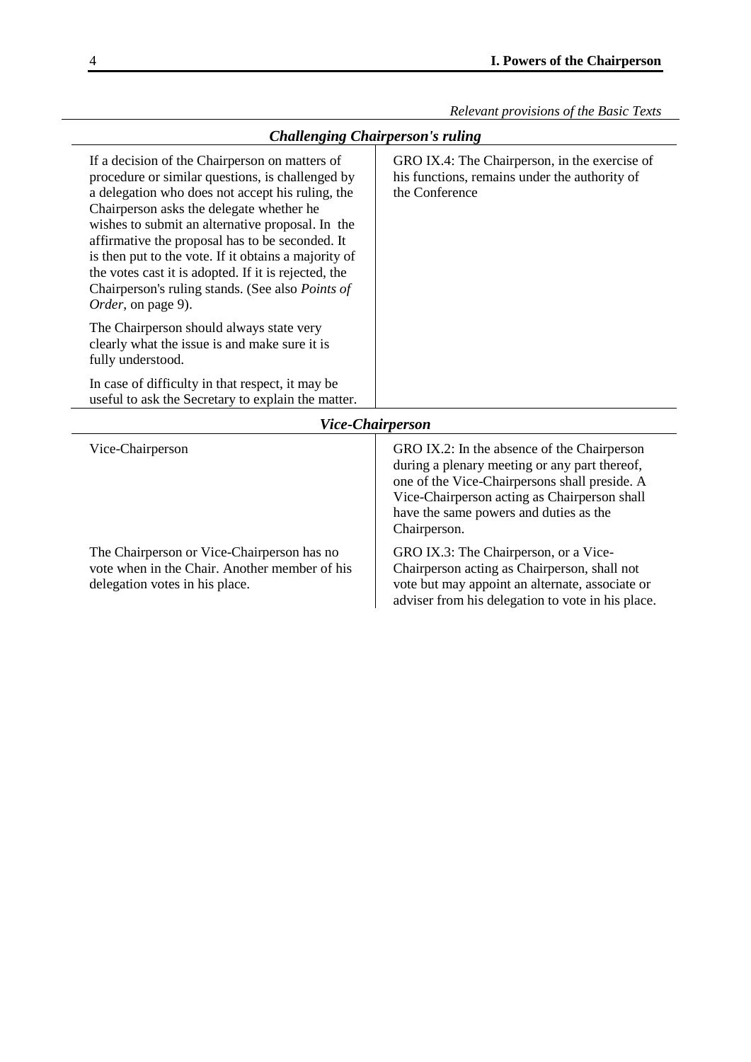### *Challenging Chairperson's ruling*

<span id="page-3-0"></span>

| If a decision of the Chairperson on matters of<br>procedure or similar questions, is challenged by<br>a delegation who does not accept his ruling, the<br>Chairperson asks the delegate whether he<br>wishes to submit an alternative proposal. In the<br>affirmative the proposal has to be seconded. It<br>is then put to the vote. If it obtains a majority of<br>the votes cast it is adopted. If it is rejected, the<br>Chairperson's ruling stands. (See also Points of<br><i>Order</i> , on page 9). | GRO IX.4: The Chairperson, in the exercise of<br>his functions, remains under the authority of<br>the Conference |  |
|-------------------------------------------------------------------------------------------------------------------------------------------------------------------------------------------------------------------------------------------------------------------------------------------------------------------------------------------------------------------------------------------------------------------------------------------------------------------------------------------------------------|------------------------------------------------------------------------------------------------------------------|--|
| The Chairperson should always state very<br>clearly what the issue is and make sure it is<br>fully understood.                                                                                                                                                                                                                                                                                                                                                                                              |                                                                                                                  |  |
| In case of difficulty in that respect, it may be<br>useful to ask the Secretary to explain the matter.                                                                                                                                                                                                                                                                                                                                                                                                      |                                                                                                                  |  |
| <b>Vice-Chairperson</b>                                                                                                                                                                                                                                                                                                                                                                                                                                                                                     |                                                                                                                  |  |
| Vice-Chairperson                                                                                                                                                                                                                                                                                                                                                                                                                                                                                            | GRO IX.2: In the absence of the Chairperson                                                                      |  |

The Chairperson or Vice-Chairperson has no vote when in the Chair. Another member of his delegation votes in his place.

during a plenary meeting or any part thereof, one of the Vice-Chairpersons shall preside. A Vice-Chairperson acting as Chairperson shall have the same powers and duties as the Chairperson.

GRO IX.3: The Chairperson, or a Vice-Chairperson acting as Chairperson, shall not vote but may appoint an alternate, associate or adviser from his delegation to vote in his place.

<span id="page-3-1"></span>l,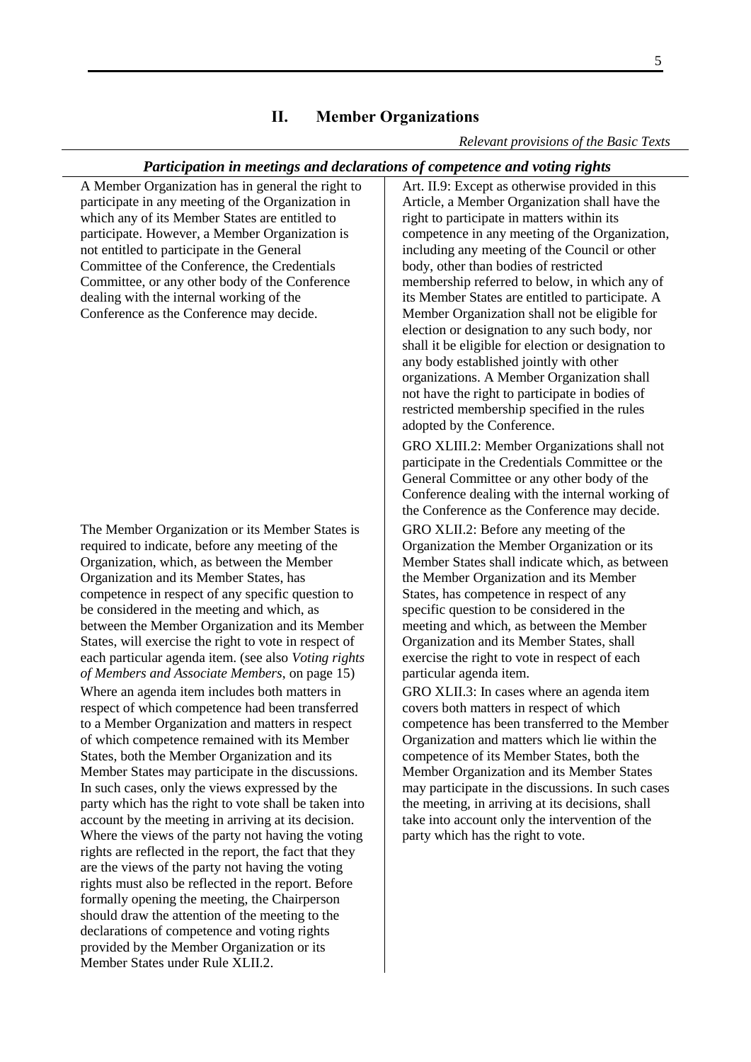#### **II. Member Organizations**

#### *Relevant provisions of the Basic Texts*

#### <span id="page-4-1"></span>*Participation in meetings and declarations of competence and voting rights*

<span id="page-4-0"></span>A Member Organization has in general the right to participate in any meeting of the Organization in which any of its Member States are entitled to participate. However, a Member Organization is not entitled to participate in the General Committee of the Conference, the Credentials Committee, or any other body of the Conference dealing with the internal working of the Conference as the Conference may decide.

The Member Organization or its Member States is required to indicate, before any meeting of the Organization, which, as between the Member Organization and its Member States, has competence in respect of any specific question to be considered in the meeting and which, as between the Member Organization and its Member States, will exercise the right to vote in respect of each particular agenda item. (see also *[Voting rights](#page-14-1)  [of Members and Associate Members](#page-14-1)*, on page [15\)](#page-14-1)

Where an agenda item includes both matters in respect of which competence had been transferred to a Member Organization and matters in respect of which competence remained with its Member States, both the Member Organization and its Member States may participate in the discussions. In such cases, only the views expressed by the party which has the right to vote shall be taken into account by the meeting in arriving at its decision. Where the views of the party not having the voting rights are reflected in the report, the fact that they are the views of the party not having the voting rights must also be reflected in the report. Before formally opening the meeting, the Chairperson should draw the attention of the meeting to the declarations of competence and voting rights provided by the Member Organization or its Member States under Rule XLII.2.

Art. II.9: Except as otherwise provided in this Article, a Member Organization shall have the right to participate in matters within its competence in any meeting of the Organization, including any meeting of the Council or other body, other than bodies of restricted membership referred to below, in which any of its Member States are entitled to participate. A Member Organization shall not be eligible for election or designation to any such body, nor shall it be eligible for election or designation to any body established jointly with other organizations. A Member Organization shall not have the right to participate in bodies of restricted membership specified in the rules adopted by the Conference.

GRO XLIII.2: Member Organizations shall not participate in the Credentials Committee or the General Committee or any other body of the Conference dealing with the internal working of the Conference as the Conference may decide.

GRO XLII.2: Before any meeting of the Organization the Member Organization or its Member States shall indicate which, as between the Member Organization and its Member States, has competence in respect of any specific question to be considered in the meeting and which, as between the Member Organization and its Member States, shall exercise the right to vote in respect of each particular agenda item.

GRO XLII.3: In cases where an agenda item covers both matters in respect of which competence has been transferred to the Member Organization and matters which lie within the competence of its Member States, both the Member Organization and its Member States may participate in the discussions. In such cases the meeting, in arriving at its decisions, shall take into account only the intervention of the party which has the right to vote.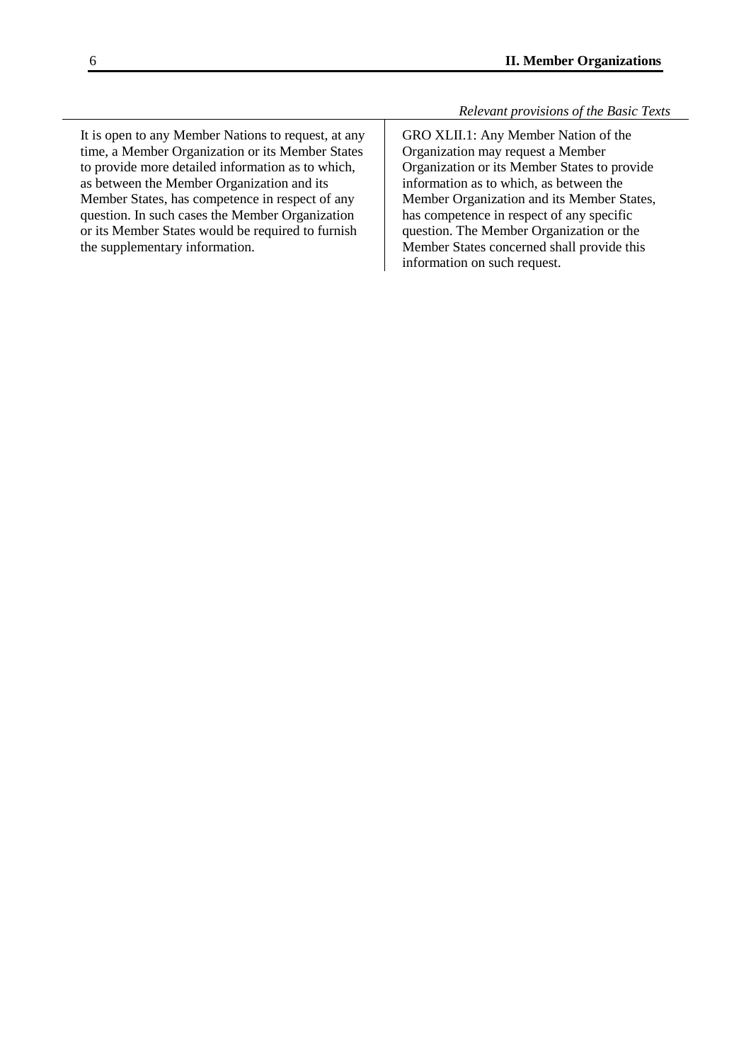It is open to any Member Nations to request, at any time, a Member Organization or its Member States to provide more detailed information as to which, as between the Member Organization and its Member States, has competence in respect of any question. In such cases the Member Organization or its Member States would be required to furnish the supplementary information.

GRO XLII.1: Any Member Nation of the Organization may request a Member Organization or its Member States to provide information as to which, as between the Member Organization and its Member States, has competence in respect of any specific question. The Member Organization or the Member States concerned shall provide this information on such request.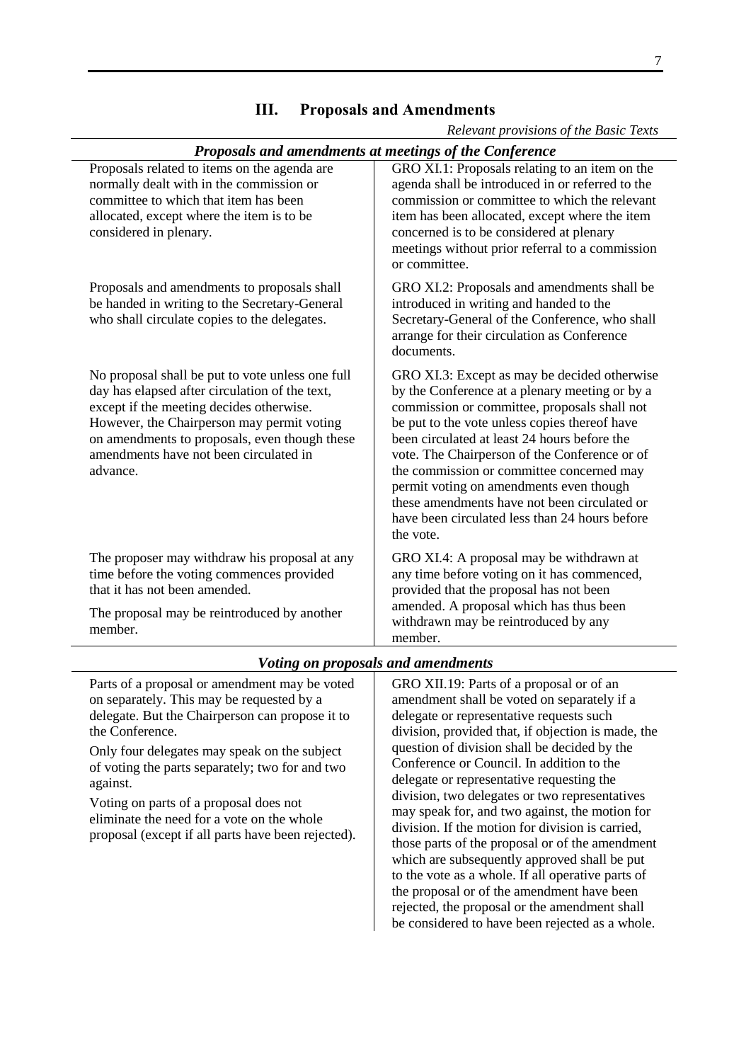<span id="page-6-1"></span><span id="page-6-0"></span>

| Proposals and amendments at meetings of the Conference                                                                                                                                                                                                                                              |                                                                                                                                                                                                                                                                                                                                                                                                                                                                                                         |  |
|-----------------------------------------------------------------------------------------------------------------------------------------------------------------------------------------------------------------------------------------------------------------------------------------------------|---------------------------------------------------------------------------------------------------------------------------------------------------------------------------------------------------------------------------------------------------------------------------------------------------------------------------------------------------------------------------------------------------------------------------------------------------------------------------------------------------------|--|
| Proposals related to items on the agenda are<br>normally dealt with in the commission or<br>committee to which that item has been<br>allocated, except where the item is to be<br>considered in plenary.                                                                                            | GRO XI.1: Proposals relating to an item on the<br>agenda shall be introduced in or referred to the<br>commission or committee to which the relevant<br>item has been allocated, except where the item<br>concerned is to be considered at plenary<br>meetings without prior referral to a commission<br>or committee.                                                                                                                                                                                   |  |
| Proposals and amendments to proposals shall<br>be handed in writing to the Secretary-General<br>who shall circulate copies to the delegates.                                                                                                                                                        | GRO XI.2: Proposals and amendments shall be<br>introduced in writing and handed to the<br>Secretary-General of the Conference, who shall<br>arrange for their circulation as Conference<br>documents.                                                                                                                                                                                                                                                                                                   |  |
| No proposal shall be put to vote unless one full<br>day has elapsed after circulation of the text,<br>except if the meeting decides otherwise.<br>However, the Chairperson may permit voting<br>on amendments to proposals, even though these<br>amendments have not been circulated in<br>advance. | GRO XI.3: Except as may be decided otherwise<br>by the Conference at a plenary meeting or by a<br>commission or committee, proposals shall not<br>be put to the vote unless copies thereof have<br>been circulated at least 24 hours before the<br>vote. The Chairperson of the Conference or of<br>the commission or committee concerned may<br>permit voting on amendments even though<br>these amendments have not been circulated or<br>have been circulated less than 24 hours before<br>the vote. |  |
| The proposer may withdraw his proposal at any<br>time before the voting commences provided<br>that it has not been amended.<br>The proposal may be reintroduced by another<br>member.                                                                                                               | GRO XI.4: A proposal may be withdrawn at<br>any time before voting on it has commenced,<br>provided that the proposal has not been<br>amended. A proposal which has thus been<br>withdrawn may be reintroduced by any<br>member.                                                                                                                                                                                                                                                                        |  |

## **III. Proposals and Amendments**

*Relevant provisions of the Basic Texts*

#### *Voting on proposals and amendments*

<span id="page-6-2"></span>Parts of a proposal or amendment may be voted on separately. This may be requested by a delegate. But the Chairperson can propose it to the Conference.

Only four delegates may speak on the subject of voting the parts separately; two for and two against.

Voting on parts of a proposal does not eliminate the need for a vote on the whole proposal (except if all parts have been rejected). GRO XII.19: Parts of a proposal or of an amendment shall be voted on separately if a delegate or representative requests such division, provided that, if objection is made, the question of division shall be decided by the Conference or Council. In addition to the delegate or representative requesting the division, two delegates or two representatives may speak for, and two against, the motion for division. If the motion for division is carried, those parts of the proposal or of the amendment which are subsequently approved shall be put to the vote as a whole. If all operative parts of the proposal or of the amendment have been rejected, the proposal or the amendment shall be considered to have been rejected as a whole.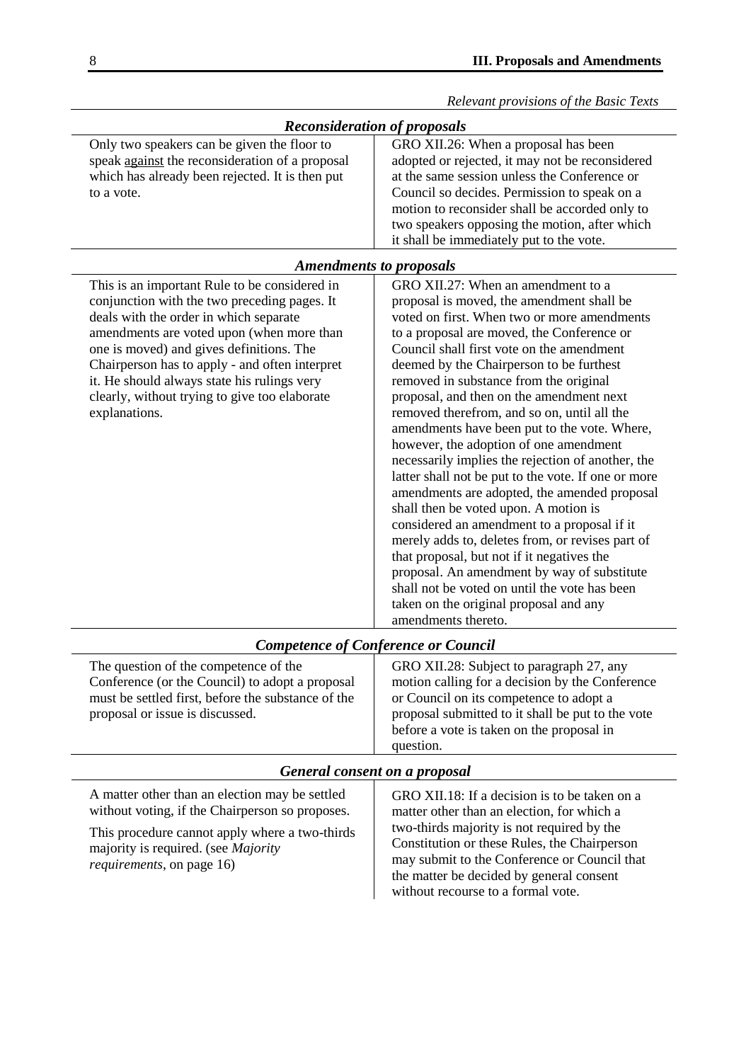<span id="page-7-0"></span>

|                                                                                                                                                                                                                                                                                    | Relevant provisions of the Basic Texts                                                                                                                                                                                                                                                                                                 |  |  |
|------------------------------------------------------------------------------------------------------------------------------------------------------------------------------------------------------------------------------------------------------------------------------------|----------------------------------------------------------------------------------------------------------------------------------------------------------------------------------------------------------------------------------------------------------------------------------------------------------------------------------------|--|--|
| <b>Reconsideration of proposals</b>                                                                                                                                                                                                                                                |                                                                                                                                                                                                                                                                                                                                        |  |  |
| Only two speakers can be given the floor to<br>speak against the reconsideration of a proposal<br>which has already been rejected. It is then put<br>to a vote.                                                                                                                    | GRO XII.26: When a proposal has been<br>adopted or rejected, it may not be reconsidered<br>at the same session unless the Conference or<br>Council so decides. Permission to speak on a<br>motion to reconsider shall be accorded only to<br>two speakers opposing the motion, after which<br>it shall be immediately put to the vote. |  |  |
| <b>Amendments to proposals</b>                                                                                                                                                                                                                                                     |                                                                                                                                                                                                                                                                                                                                        |  |  |
| This is an important Rule to be considered in<br>conjunction with the two preceding pages. It<br>deals with the order in which separate<br>amendments are voted upon (when more than<br>one is moved) and gives definitions. The<br>Chairperson has to apply - and often interpret | GRO XII.27: When an amendment to a<br>proposal is moved, the amendment shall be<br>voted on first. When two or more amendments<br>to a proposal are moved, the Conference or<br>Council shall first vote on the amendment<br>deemed by the Chairperson to be furthest                                                                  |  |  |

<span id="page-7-2"></span>

| <b>Competence of Conference or Council</b>                                                                                                                                        |                                                                                                                                                                                                                                                       |  |
|-----------------------------------------------------------------------------------------------------------------------------------------------------------------------------------|-------------------------------------------------------------------------------------------------------------------------------------------------------------------------------------------------------------------------------------------------------|--|
| The question of the competence of the<br>Conference (or the Council) to adopt a proposal<br>must be settled first, before the substance of the<br>proposal or issue is discussed. | GRO XII.28: Subject to paragraph 27, any<br>motion calling for a decision by the Conference<br>or Council on its competence to adopt a<br>proposal submitted to it shall be put to the vote<br>before a vote is taken on the proposal in<br>question. |  |
| General consent on a proposal                                                                                                                                                     |                                                                                                                                                                                                                                                       |  |

### <span id="page-7-3"></span>A matter other than an election may be settled without voting, if the Chairperson so proposes.

<span id="page-7-1"></span>it. He should always state his rulings very clearly, without trying to give too elaborate

explanations.

This procedure cannot apply where a two-thirds majority is required. (see *[Majority](#page-15-0)  [requirements](#page-15-0)*, on pag[e 16\)](#page-15-0)

GRO XII.18: If a decision is to be taken on a matter other than an election, for which a two-thirds majority is not required by the Constitution or these Rules, the Chairperson may submit to the Conference or Council that the matter be decided by general consent without recourse to a formal vote.

removed in substance from the original proposal, and then on the amendment next removed therefrom, and so on, until all the amendments have been put to the vote. Where, however, the adoption of one amendment necessarily implies the rejection of another, the latter shall not be put to the vote. If one or more amendments are adopted, the amended proposal

shall then be voted upon. A motion is considered an amendment to a proposal if it merely adds to, deletes from, or revises part of

that proposal, but not if it negatives the

amendments thereto.

proposal. An amendment by way of substitute shall not be voted on until the vote has been taken on the original proposal and any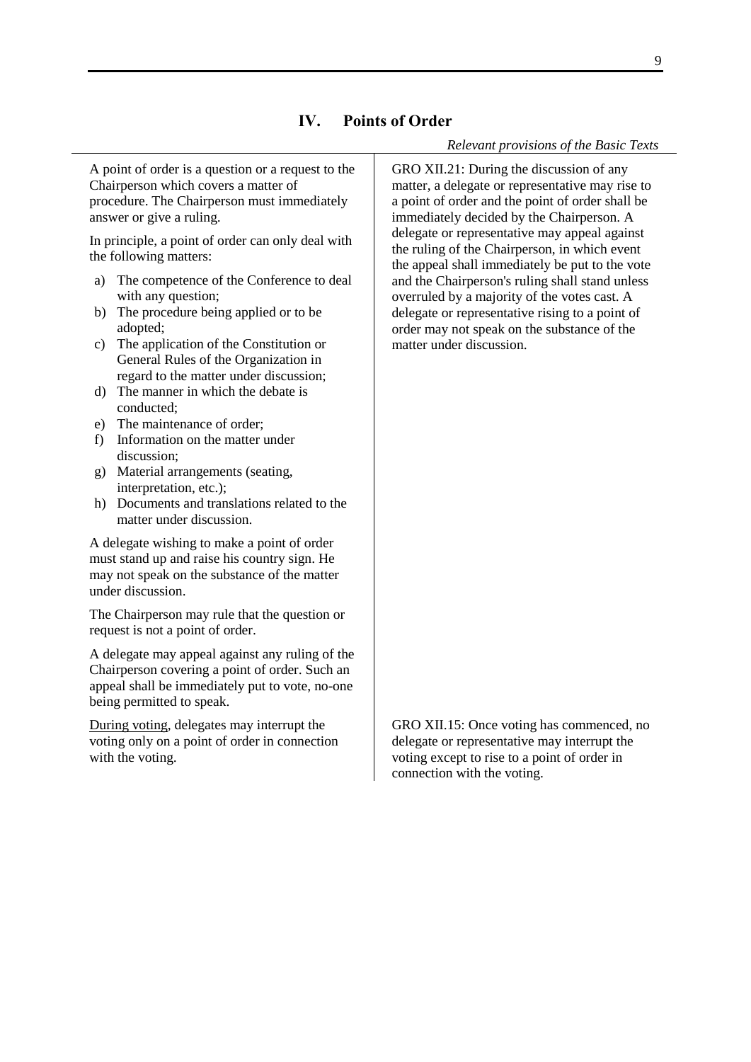## **IV. Points of Order**

#### *Relevant provisions of the Basic Texts*

<span id="page-8-0"></span>A point of order is a question or a request to the Chairperson which covers a matter of procedure. The Chairperson must immediately answer or give a ruling.

In principle, a point of order can only deal with the following matters:

- a) The competence of the Conference to deal with any question;
- b) The procedure being applied or to be adopted;
- c) The application of the Constitution or General Rules of the Organization in regard to the matter under discussion;
- d) The manner in which the debate is conducted;
- e) The maintenance of order;
- f) Information on the matter under discussion;
- g) Material arrangements (seating, interpretation, etc.);
- h) Documents and translations related to the matter under discussion.

A delegate wishing to make a point of order must stand up and raise his country sign. He may not speak on the substance of the matter under discussion.

The Chairperson may rule that the question or request is not a point of order.

A delegate may appeal against any ruling of the Chairperson covering a point of order. Such an appeal shall be immediately put to vote, no-one being permitted to speak.

During voting, delegates may interrupt the voting only on a point of order in connection with the voting.

GRO XII.21: During the discussion of any matter, a delegate or representative may rise to a point of order and the point of order shall be immediately decided by the Chairperson. A delegate or representative may appeal against the ruling of the Chairperson, in which event the appeal shall immediately be put to the vote and the Chairperson's ruling shall stand unless overruled by a majority of the votes cast. A delegate or representative rising to a point of order may not speak on the substance of the matter under discussion.

GRO XII.15: Once voting has commenced, no delegate or representative may interrupt the voting except to rise to a point of order in connection with the voting.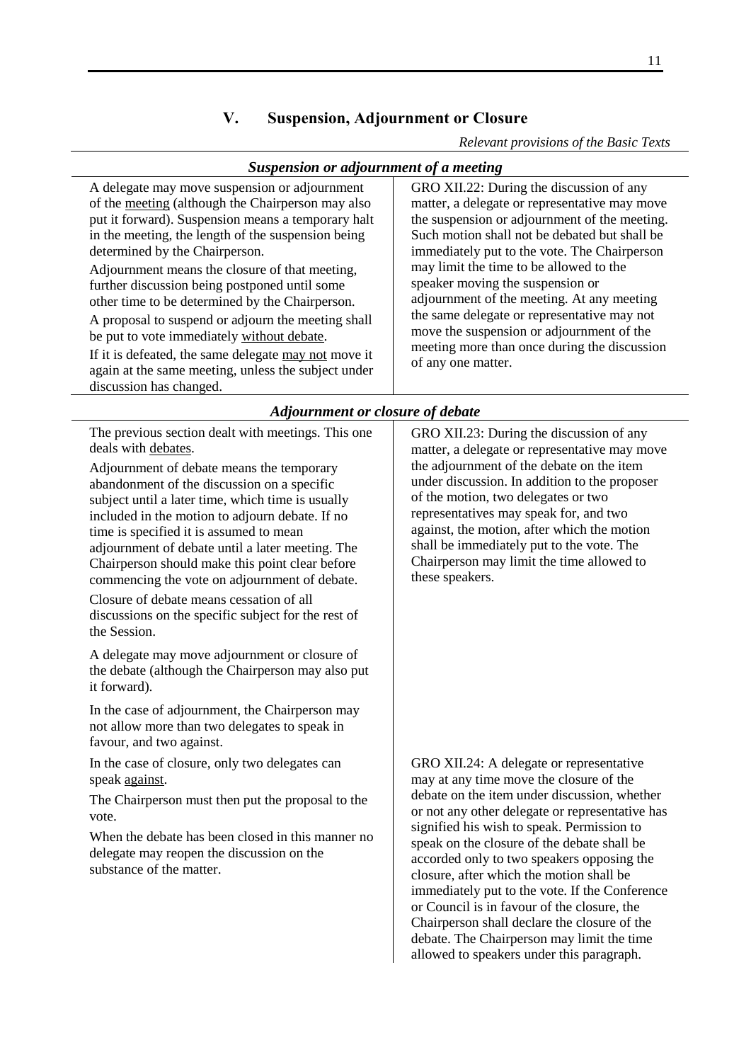# **V. Suspension, Adjournment or Closure**

*Relevant provisions of the Basic Texts*

debate. The Chairperson may limit the time allowed to speakers under this paragraph.

<span id="page-10-2"></span><span id="page-10-1"></span><span id="page-10-0"></span>

| <b>Suspension or adjournment of a meeting</b>                                                                                                                                                                                                                                                                                                                                                                                                                                                                                                                                                                                                                                                                                                                                                                                                             |                                                                                                                                                                                                                                                                                                                                                                                                                                                                                                                                            |  |
|-----------------------------------------------------------------------------------------------------------------------------------------------------------------------------------------------------------------------------------------------------------------------------------------------------------------------------------------------------------------------------------------------------------------------------------------------------------------------------------------------------------------------------------------------------------------------------------------------------------------------------------------------------------------------------------------------------------------------------------------------------------------------------------------------------------------------------------------------------------|--------------------------------------------------------------------------------------------------------------------------------------------------------------------------------------------------------------------------------------------------------------------------------------------------------------------------------------------------------------------------------------------------------------------------------------------------------------------------------------------------------------------------------------------|--|
| A delegate may move suspension or adjournment<br>of the meeting (although the Chairperson may also<br>put it forward). Suspension means a temporary halt<br>in the meeting, the length of the suspension being<br>determined by the Chairperson.<br>Adjournment means the closure of that meeting,<br>further discussion being postponed until some<br>other time to be determined by the Chairperson.<br>A proposal to suspend or adjourn the meeting shall<br>be put to vote immediately without debate.<br>If it is defeated, the same delegate may not move it<br>again at the same meeting, unless the subject under<br>discussion has changed.                                                                                                                                                                                                      | GRO XII.22: During the discussion of any<br>matter, a delegate or representative may move<br>the suspension or adjournment of the meeting.<br>Such motion shall not be debated but shall be<br>immediately put to the vote. The Chairperson<br>may limit the time to be allowed to the<br>speaker moving the suspension or<br>adjournment of the meeting. At any meeting<br>the same delegate or representative may not<br>move the suspension or adjournment of the<br>meeting more than once during the discussion<br>of any one matter. |  |
| Adjournment or closure of debate                                                                                                                                                                                                                                                                                                                                                                                                                                                                                                                                                                                                                                                                                                                                                                                                                          |                                                                                                                                                                                                                                                                                                                                                                                                                                                                                                                                            |  |
| The previous section dealt with meetings. This one<br>deals with debates.<br>Adjournment of debate means the temporary<br>abandonment of the discussion on a specific<br>subject until a later time, which time is usually<br>included in the motion to adjourn debate. If no<br>time is specified it is assumed to mean<br>adjournment of debate until a later meeting. The<br>Chairperson should make this point clear before<br>commencing the vote on adjournment of debate.<br>Closure of debate means cessation of all<br>discussions on the specific subject for the rest of<br>the Session.<br>A delegate may move adjournment or closure of<br>the debate (although the Chairperson may also put<br>it forward).<br>In the case of adjournment, the Chairperson may<br>not allow more than two delegates to speak in<br>favour, and two against. | GRO XII.23: During the discussion of any<br>matter, a delegate or representative may move<br>the adjournment of the debate on the item<br>under discussion. In addition to the proposer<br>of the motion, two delegates or two<br>representatives may speak for, and two<br>against, the motion, after which the motion<br>shall be immediately put to the vote. The<br>Chairperson may limit the time allowed to<br>these speakers.                                                                                                       |  |
| In the case of closure, only two delegates can<br>speak <u>against</u> .<br>The Chairperson must then put the proposal to the<br>vote.<br>When the debate has been closed in this manner no<br>delegate may reopen the discussion on the<br>substance of the matter.                                                                                                                                                                                                                                                                                                                                                                                                                                                                                                                                                                                      | GRO XII.24: A delegate or representative<br>may at any time move the closure of the<br>debate on the item under discussion, whether<br>or not any other delegate or representative has<br>signified his wish to speak. Permission to<br>speak on the closure of the debate shall be<br>accorded only to two speakers opposing the<br>closure, after which the motion shall be<br>immediately put to the vote. If the Conference<br>or Council is in favour of the closure, the<br>Chairperson shall declare the closure of the             |  |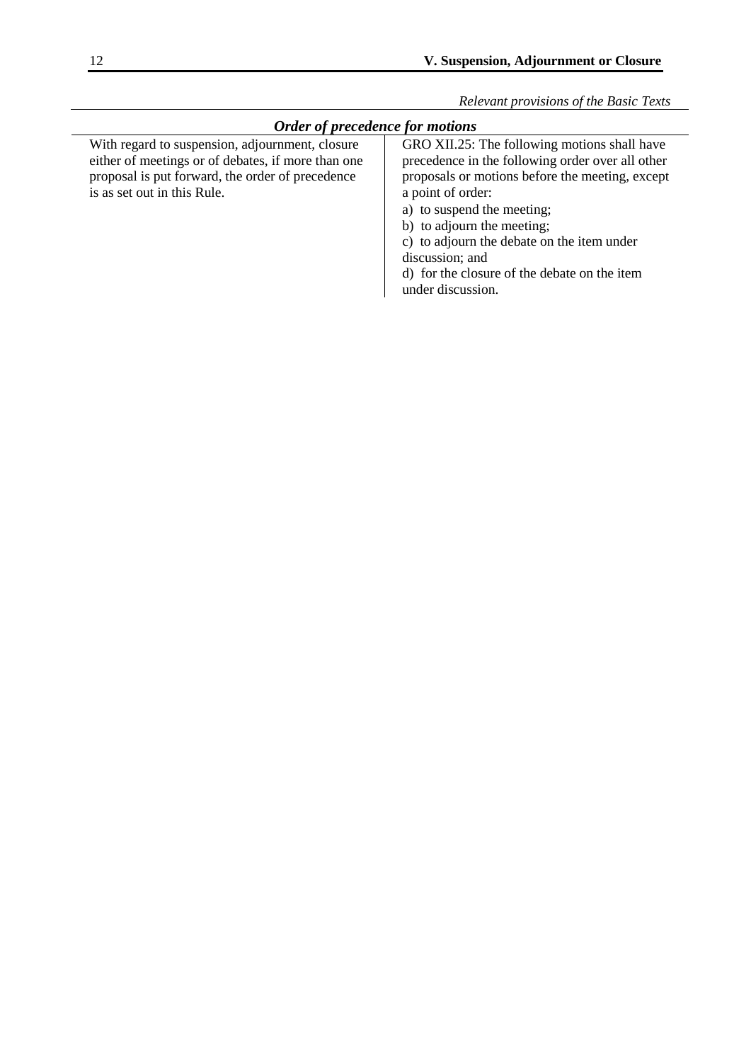<span id="page-11-0"></span>

| <i><b>Order of precedence for motions</b></i>                                                                                                                                            |                                                                                                                                                                                                                                                                                                                                                                            |  |
|------------------------------------------------------------------------------------------------------------------------------------------------------------------------------------------|----------------------------------------------------------------------------------------------------------------------------------------------------------------------------------------------------------------------------------------------------------------------------------------------------------------------------------------------------------------------------|--|
| With regard to suspension, adjournment, closure<br>either of meetings or of debates, if more than one<br>proposal is put forward, the order of precedence<br>is as set out in this Rule. | GRO XII.25: The following motions shall have<br>precedence in the following order over all other<br>proposals or motions before the meeting, except<br>a point of order:<br>a) to suspend the meeting;<br>b) to adjourn the meeting;<br>c) to adjourn the debate on the item under<br>discussion; and<br>d) for the closure of the debate on the item<br>under discussion. |  |
|                                                                                                                                                                                          |                                                                                                                                                                                                                                                                                                                                                                            |  |

# *Order of precedence for motions*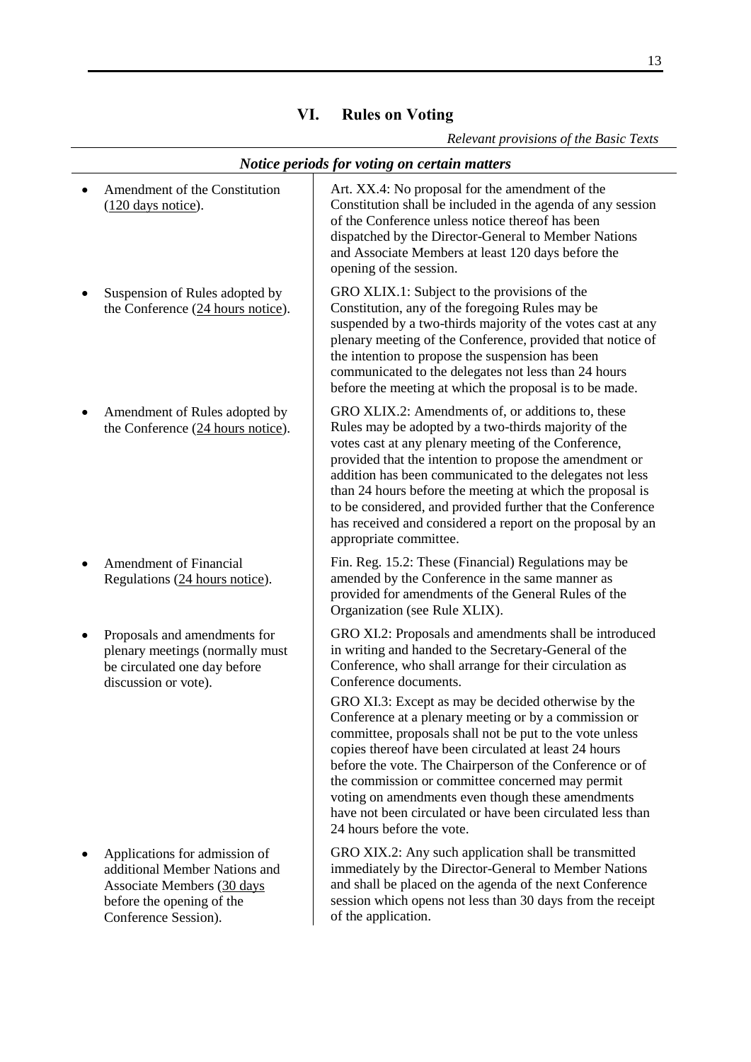| I<br>I             |
|--------------------|
| I<br>۰.<br>۰.<br>× |

<span id="page-12-1"></span><span id="page-12-0"></span>

| Notice periods for voting on certain matters                                                                                                      |                                                                                                                                                                                                                                                                                                                                                                                                                                                                                                                                                                                                                                                                                                         |  |
|---------------------------------------------------------------------------------------------------------------------------------------------------|---------------------------------------------------------------------------------------------------------------------------------------------------------------------------------------------------------------------------------------------------------------------------------------------------------------------------------------------------------------------------------------------------------------------------------------------------------------------------------------------------------------------------------------------------------------------------------------------------------------------------------------------------------------------------------------------------------|--|
| Amendment of the Constitution<br>$(120$ days notice).                                                                                             | Art. XX.4: No proposal for the amendment of the<br>Constitution shall be included in the agenda of any session<br>of the Conference unless notice thereof has been<br>dispatched by the Director-General to Member Nations<br>and Associate Members at least 120 days before the<br>opening of the session.                                                                                                                                                                                                                                                                                                                                                                                             |  |
| Suspension of Rules adopted by<br>the Conference (24 hours notice).                                                                               | GRO XLIX.1: Subject to the provisions of the<br>Constitution, any of the foregoing Rules may be<br>suspended by a two-thirds majority of the votes cast at any<br>plenary meeting of the Conference, provided that notice of<br>the intention to propose the suspension has been<br>communicated to the delegates not less than 24 hours<br>before the meeting at which the proposal is to be made.                                                                                                                                                                                                                                                                                                     |  |
| Amendment of Rules adopted by<br>the Conference (24 hours notice).                                                                                | GRO XLIX.2: Amendments of, or additions to, these<br>Rules may be adopted by a two-thirds majority of the<br>votes cast at any plenary meeting of the Conference,<br>provided that the intention to propose the amendment or<br>addition has been communicated to the delegates not less<br>than 24 hours before the meeting at which the proposal is<br>to be considered, and provided further that the Conference<br>has received and considered a report on the proposal by an<br>appropriate committee.                                                                                                                                                                                             |  |
| <b>Amendment of Financial</b><br>Regulations (24 hours notice).                                                                                   | Fin. Reg. 15.2: These (Financial) Regulations may be<br>amended by the Conference in the same manner as<br>provided for amendments of the General Rules of the<br>Organization (see Rule XLIX).                                                                                                                                                                                                                                                                                                                                                                                                                                                                                                         |  |
| Proposals and amendments for<br>plenary meetings (normally must<br>be circulated one day before<br>discussion or vote).                           | GRO XI.2: Proposals and amendments shall be introduced<br>in writing and handed to the Secretary-General of the<br>Conference, who shall arrange for their circulation as<br>Conference documents.<br>GRO XI.3: Except as may be decided otherwise by the<br>Conference at a plenary meeting or by a commission or<br>committee, proposals shall not be put to the vote unless<br>copies thereof have been circulated at least 24 hours<br>before the vote. The Chairperson of the Conference or of<br>the commission or committee concerned may permit<br>voting on amendments even though these amendments<br>have not been circulated or have been circulated less than<br>24 hours before the vote. |  |
| Applications for admission of<br>additional Member Nations and<br>Associate Members (30 days<br>before the opening of the<br>Conference Session). | GRO XIX.2: Any such application shall be transmitted<br>immediately by the Director-General to Member Nations<br>and shall be placed on the agenda of the next Conference<br>session which opens not less than 30 days from the receipt<br>of the application.                                                                                                                                                                                                                                                                                                                                                                                                                                          |  |

# **VI. Rules on Voting**

*Relevant provisions of the Basic Texts*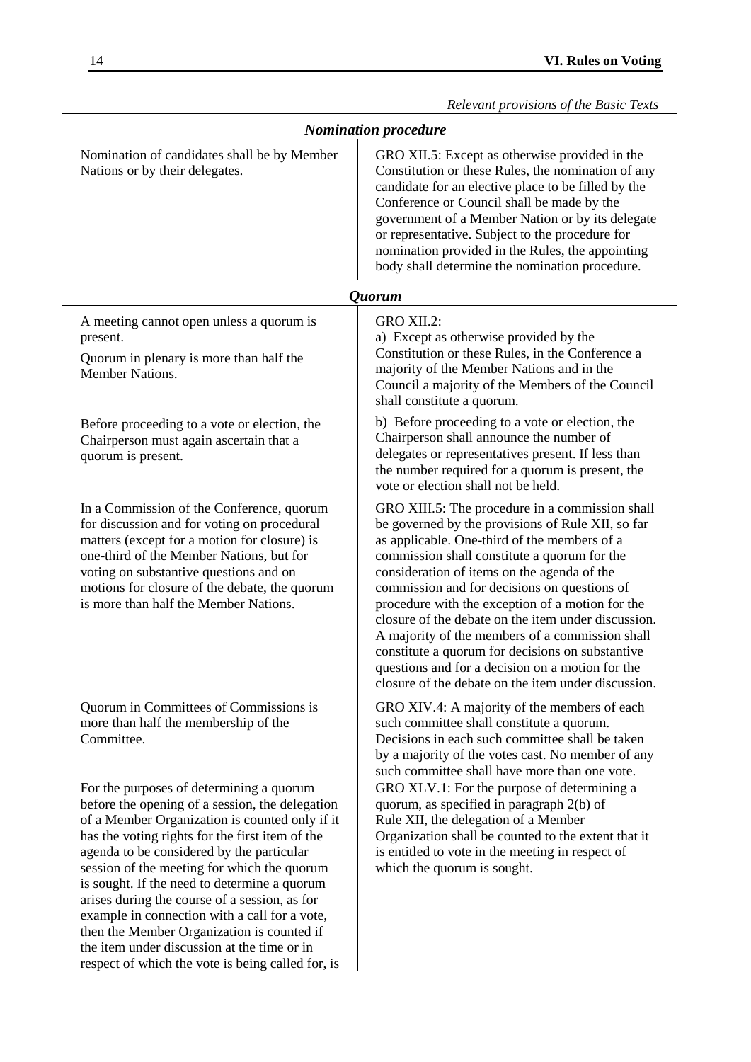<span id="page-13-1"></span><span id="page-13-0"></span>

|                                                                                                                                                                                                                                                                                                                                                                                                                                                                                                                                                                                                  | Relevant provisions of the Basic Texts                                                                                                                                                                                                                                                                                                                                                                                                                                                                                                                                                                                           |
|--------------------------------------------------------------------------------------------------------------------------------------------------------------------------------------------------------------------------------------------------------------------------------------------------------------------------------------------------------------------------------------------------------------------------------------------------------------------------------------------------------------------------------------------------------------------------------------------------|----------------------------------------------------------------------------------------------------------------------------------------------------------------------------------------------------------------------------------------------------------------------------------------------------------------------------------------------------------------------------------------------------------------------------------------------------------------------------------------------------------------------------------------------------------------------------------------------------------------------------------|
|                                                                                                                                                                                                                                                                                                                                                                                                                                                                                                                                                                                                  | <b>Nomination procedure</b>                                                                                                                                                                                                                                                                                                                                                                                                                                                                                                                                                                                                      |
| Nomination of candidates shall be by Member<br>Nations or by their delegates.                                                                                                                                                                                                                                                                                                                                                                                                                                                                                                                    | GRO XII.5: Except as otherwise provided in the<br>Constitution or these Rules, the nomination of any<br>candidate for an elective place to be filled by the<br>Conference or Council shall be made by the<br>government of a Member Nation or by its delegate<br>or representative. Subject to the procedure for<br>nomination provided in the Rules, the appointing<br>body shall determine the nomination procedure.                                                                                                                                                                                                           |
|                                                                                                                                                                                                                                                                                                                                                                                                                                                                                                                                                                                                  | <i><b>Ouorum</b></i>                                                                                                                                                                                                                                                                                                                                                                                                                                                                                                                                                                                                             |
| A meeting cannot open unless a quorum is<br>present.<br>Quorum in plenary is more than half the<br>Member Nations.                                                                                                                                                                                                                                                                                                                                                                                                                                                                               | GRO XII.2:<br>a) Except as otherwise provided by the<br>Constitution or these Rules, in the Conference a<br>majority of the Member Nations and in the<br>Council a majority of the Members of the Council<br>shall constitute a quorum.                                                                                                                                                                                                                                                                                                                                                                                          |
| Before proceeding to a vote or election, the<br>Chairperson must again ascertain that a<br>quorum is present.                                                                                                                                                                                                                                                                                                                                                                                                                                                                                    | b) Before proceeding to a vote or election, the<br>Chairperson shall announce the number of<br>delegates or representatives present. If less than<br>the number required for a quorum is present, the<br>vote or election shall not be held.                                                                                                                                                                                                                                                                                                                                                                                     |
| In a Commission of the Conference, quorum<br>for discussion and for voting on procedural<br>matters (except for a motion for closure) is<br>one-third of the Member Nations, but for<br>voting on substantive questions and on<br>motions for closure of the debate, the quorum<br>is more than half the Member Nations.                                                                                                                                                                                                                                                                         | GRO XIII.5: The procedure in a commission shall<br>be governed by the provisions of Rule XII, so far<br>as applicable. One-third of the members of a<br>commission shall constitute a quorum for the<br>consideration of items on the agenda of the<br>commission and for decisions on questions of<br>procedure with the exception of a motion for the<br>closure of the debate on the item under discussion.<br>A majority of the members of a commission shall<br>constitute a quorum for decisions on substantive<br>questions and for a decision on a motion for the<br>closure of the debate on the item under discussion. |
| Quorum in Committees of Commissions is<br>more than half the membership of the<br>Committee.                                                                                                                                                                                                                                                                                                                                                                                                                                                                                                     | GRO XIV.4: A majority of the members of each<br>such committee shall constitute a quorum.<br>Decisions in each such committee shall be taken<br>by a majority of the votes cast. No member of any<br>such committee shall have more than one vote.                                                                                                                                                                                                                                                                                                                                                                               |
| For the purposes of determining a quorum<br>before the opening of a session, the delegation<br>of a Member Organization is counted only if it<br>has the voting rights for the first item of the<br>agenda to be considered by the particular<br>session of the meeting for which the quorum<br>is sought. If the need to determine a quorum<br>arises during the course of a session, as for<br>example in connection with a call for a vote,<br>then the Member Organization is counted if<br>the item under discussion at the time or in<br>respect of which the vote is being called for, is | GRO XLV.1: For the purpose of determining a<br>quorum, as specified in paragraph 2(b) of<br>Rule XII, the delegation of a Member<br>Organization shall be counted to the extent that it<br>is entitled to vote in the meeting in respect of<br>which the quorum is sought.                                                                                                                                                                                                                                                                                                                                                       |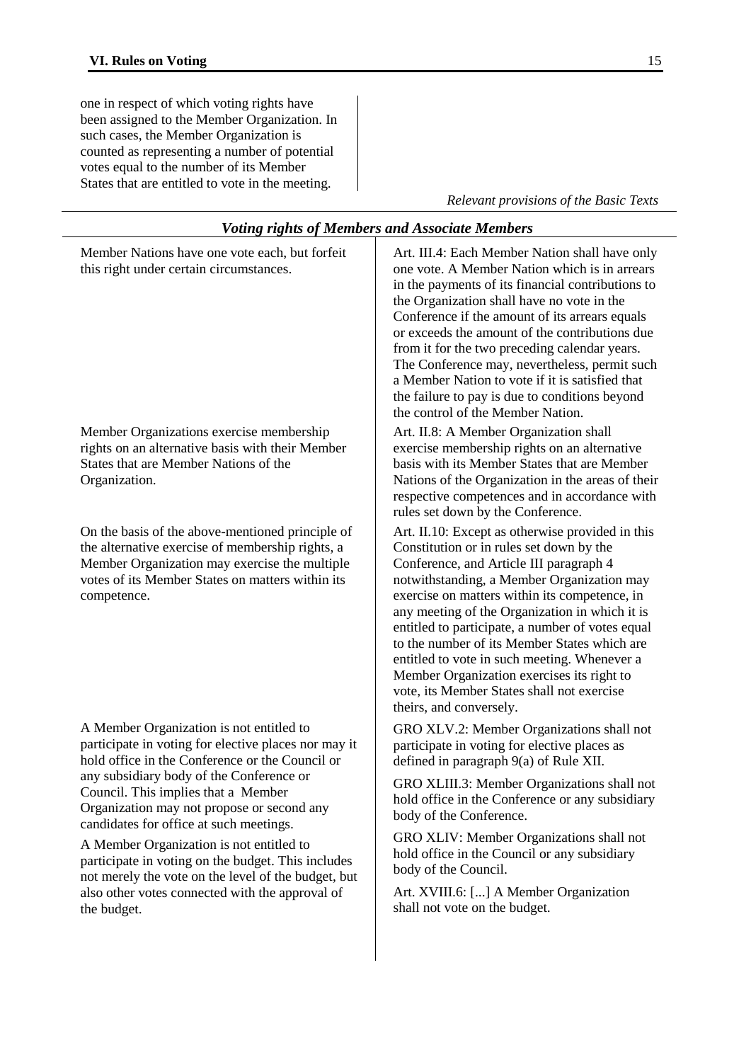one in respect of which voting rights have been assigned to the Member Organization. In such cases, the Member Organization is counted as representing a number of potential votes equal to the number of its Member States that are entitled to vote in the meeting.

*Relevant provisions of the Basic Texts*

<span id="page-14-1"></span><span id="page-14-0"></span>

| <b>Voting rights of Members and Associate Members</b>                                                                                                                                                                                                                                                                                                                                                                                                                                                                                                      |                                                                                                                                                                                                                                                                                                                                                                                                                                                                                                                                                                     |  |
|------------------------------------------------------------------------------------------------------------------------------------------------------------------------------------------------------------------------------------------------------------------------------------------------------------------------------------------------------------------------------------------------------------------------------------------------------------------------------------------------------------------------------------------------------------|---------------------------------------------------------------------------------------------------------------------------------------------------------------------------------------------------------------------------------------------------------------------------------------------------------------------------------------------------------------------------------------------------------------------------------------------------------------------------------------------------------------------------------------------------------------------|--|
| Member Nations have one vote each, but forfeit<br>this right under certain circumstances.                                                                                                                                                                                                                                                                                                                                                                                                                                                                  | Art. III.4: Each Member Nation shall have only<br>one vote. A Member Nation which is in arrears<br>in the payments of its financial contributions to<br>the Organization shall have no vote in the<br>Conference if the amount of its arrears equals<br>or exceeds the amount of the contributions due<br>from it for the two preceding calendar years.<br>The Conference may, nevertheless, permit such<br>a Member Nation to vote if it is satisfied that<br>the failure to pay is due to conditions beyond<br>the control of the Member Nation.                  |  |
| Member Organizations exercise membership<br>rights on an alternative basis with their Member<br>States that are Member Nations of the<br>Organization.                                                                                                                                                                                                                                                                                                                                                                                                     | Art. II.8: A Member Organization shall<br>exercise membership rights on an alternative<br>basis with its Member States that are Member<br>Nations of the Organization in the areas of their<br>respective competences and in accordance with<br>rules set down by the Conference.                                                                                                                                                                                                                                                                                   |  |
| On the basis of the above-mentioned principle of<br>the alternative exercise of membership rights, a<br>Member Organization may exercise the multiple<br>votes of its Member States on matters within its<br>competence.                                                                                                                                                                                                                                                                                                                                   | Art. II.10: Except as otherwise provided in this<br>Constitution or in rules set down by the<br>Conference, and Article III paragraph 4<br>notwithstanding, a Member Organization may<br>exercise on matters within its competence, in<br>any meeting of the Organization in which it is<br>entitled to participate, a number of votes equal<br>to the number of its Member States which are<br>entitled to vote in such meeting. Whenever a<br>Member Organization exercises its right to<br>vote, its Member States shall not exercise<br>theirs, and conversely. |  |
| A Member Organization is not entitled to<br>participate in voting for elective places nor may it<br>hold office in the Conference or the Council or<br>any subsidiary body of the Conference or<br>Council. This implies that a Member<br>Organization may not propose or second any<br>candidates for office at such meetings.<br>A Member Organization is not entitled to<br>participate in voting on the budget. This includes<br>not merely the vote on the level of the budget, but<br>also other votes connected with the approval of<br>the budget. | GRO XLV.2: Member Organizations shall not<br>participate in voting for elective places as<br>defined in paragraph 9(a) of Rule XII.<br>GRO XLIII.3: Member Organizations shall not<br>hold office in the Conference or any subsidiary<br>body of the Conference.<br>GRO XLIV: Member Organizations shall not<br>hold office in the Council or any subsidiary<br>body of the Council.<br>Art. XVIII.6: [] A Member Organization<br>shall not vote on the budget.                                                                                                     |  |
|                                                                                                                                                                                                                                                                                                                                                                                                                                                                                                                                                            |                                                                                                                                                                                                                                                                                                                                                                                                                                                                                                                                                                     |  |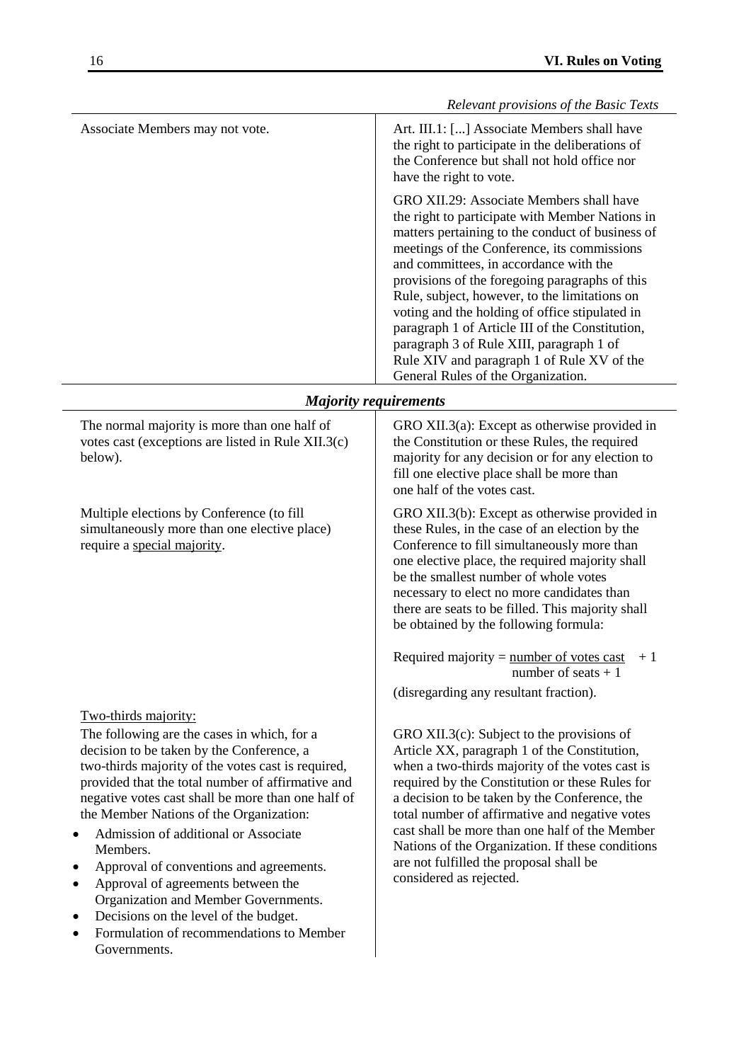<span id="page-15-0"></span>

|                                                                                                                                                                                                                                                                                                                                                                                                                                                                                                                                                                                                                | Relevant provisions of the Basic Texts                                                                                                                                                                                                                                                                                                                                                                                                                                                                                                                                           |  |
|----------------------------------------------------------------------------------------------------------------------------------------------------------------------------------------------------------------------------------------------------------------------------------------------------------------------------------------------------------------------------------------------------------------------------------------------------------------------------------------------------------------------------------------------------------------------------------------------------------------|----------------------------------------------------------------------------------------------------------------------------------------------------------------------------------------------------------------------------------------------------------------------------------------------------------------------------------------------------------------------------------------------------------------------------------------------------------------------------------------------------------------------------------------------------------------------------------|--|
| Associate Members may not vote.                                                                                                                                                                                                                                                                                                                                                                                                                                                                                                                                                                                | Art. III.1: [] Associate Members shall have<br>the right to participate in the deliberations of<br>the Conference but shall not hold office nor<br>have the right to vote.                                                                                                                                                                                                                                                                                                                                                                                                       |  |
|                                                                                                                                                                                                                                                                                                                                                                                                                                                                                                                                                                                                                | GRO XII.29: Associate Members shall have<br>the right to participate with Member Nations in<br>matters pertaining to the conduct of business of<br>meetings of the Conference, its commissions<br>and committees, in accordance with the<br>provisions of the foregoing paragraphs of this<br>Rule, subject, however, to the limitations on<br>voting and the holding of office stipulated in<br>paragraph 1 of Article III of the Constitution,<br>paragraph 3 of Rule XIII, paragraph 1 of<br>Rule XIV and paragraph 1 of Rule XV of the<br>General Rules of the Organization. |  |
| <b>Majority requirements</b>                                                                                                                                                                                                                                                                                                                                                                                                                                                                                                                                                                                   |                                                                                                                                                                                                                                                                                                                                                                                                                                                                                                                                                                                  |  |
| The normal majority is more than one half of<br>votes cast (exceptions are listed in Rule XII.3(c)<br>below).                                                                                                                                                                                                                                                                                                                                                                                                                                                                                                  | GRO XII.3(a): Except as otherwise provided in<br>the Constitution or these Rules, the required<br>majority for any decision or for any election to<br>fill one elective place shall be more than<br>one half of the votes cast.                                                                                                                                                                                                                                                                                                                                                  |  |
| Multiple elections by Conference (to fill<br>simultaneously more than one elective place)<br>require a special majority.                                                                                                                                                                                                                                                                                                                                                                                                                                                                                       | GRO XII.3(b): Except as otherwise provided in<br>these Rules, in the case of an election by the<br>Conference to fill simultaneously more than<br>one elective place, the required majority shall<br>be the smallest number of whole votes<br>necessary to elect no more candidates than<br>there are seats to be filled. This majority shall<br>be obtained by the following formula:                                                                                                                                                                                           |  |
|                                                                                                                                                                                                                                                                                                                                                                                                                                                                                                                                                                                                                | Required majority = $\frac{number\ of\ votes\ cast}$<br>$+1$<br>number of seats $+1$<br>(disregarding any resultant fraction).                                                                                                                                                                                                                                                                                                                                                                                                                                                   |  |
| Two-thirds majority:<br>The following are the cases in which, for a<br>decision to be taken by the Conference, a<br>two-thirds majority of the votes cast is required,<br>provided that the total number of affirmative and<br>negative votes cast shall be more than one half of<br>the Member Nations of the Organization:<br>Admission of additional or Associate<br>Members.<br>Approval of conventions and agreements.<br>Approval of agreements between the<br>Organization and Member Governments.<br>Decisions on the level of the budget.<br>Formulation of recommendations to Member<br>Governments. | GRO XII.3 $(c)$ : Subject to the provisions of<br>Article XX, paragraph 1 of the Constitution,<br>when a two-thirds majority of the votes cast is<br>required by the Constitution or these Rules for<br>a decision to be taken by the Conference, the<br>total number of affirmative and negative votes<br>cast shall be more than one half of the Member<br>Nations of the Organization. If these conditions<br>are not fulfilled the proposal shall be<br>considered as rejected.                                                                                              |  |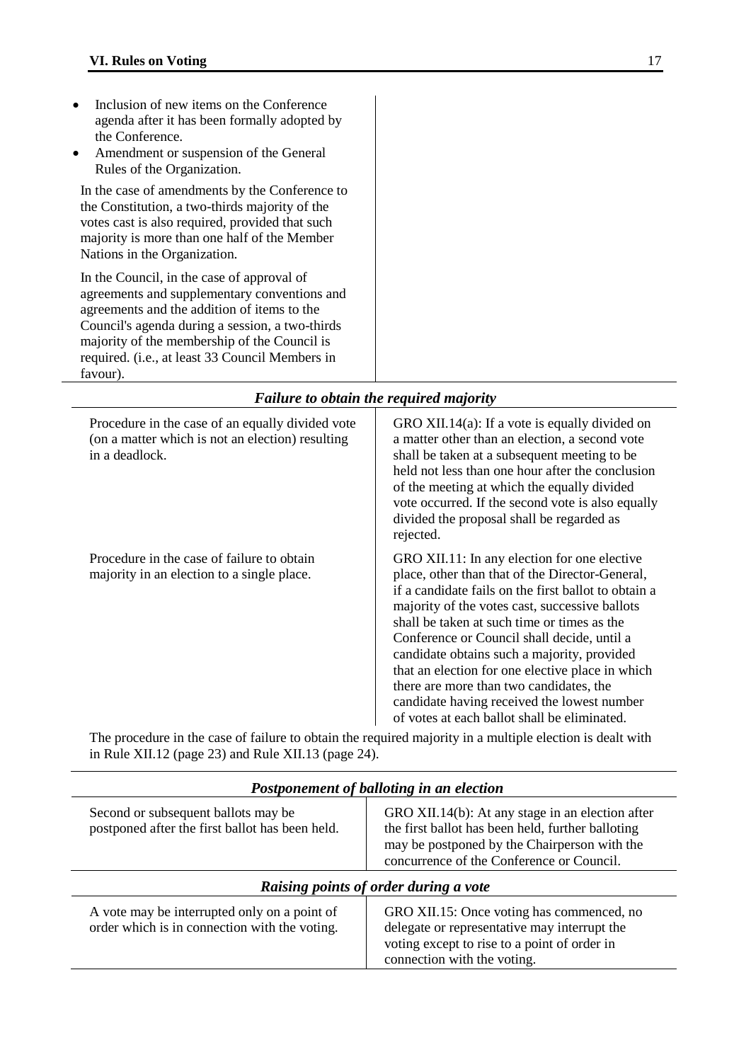<span id="page-16-0"></span>favour).

• Inclusion of new items on the Conference agenda after it has been formally adopted by the Conference. • Amendment or suspension of the General Rules of the Organization. In the case of amendments by the Conference to the Constitution, a two-thirds majority of the votes cast is also required, provided that such majority is more than one half of the Member Nations in the Organization. In the Council, in the case of approval of agreements and supplementary conventions and agreements and the addition of items to the Council's agenda during a session, a two-thirds majority of the membership of the Council is required. (i.e., at least 33 Council Members in

| <b>Failure to obtain the required majority</b>                                                                         |                                                                                                                                                                                                                                                                                                                                                                                                                                                                                                                                                      |  |
|------------------------------------------------------------------------------------------------------------------------|------------------------------------------------------------------------------------------------------------------------------------------------------------------------------------------------------------------------------------------------------------------------------------------------------------------------------------------------------------------------------------------------------------------------------------------------------------------------------------------------------------------------------------------------------|--|
| Procedure in the case of an equally divided vote<br>(on a matter which is not an election) resulting<br>in a deadlock. | GRO XII.14(a): If a vote is equally divided on<br>a matter other than an election, a second vote<br>shall be taken at a subsequent meeting to be<br>held not less than one hour after the conclusion<br>of the meeting at which the equally divided<br>vote occurred. If the second vote is also equally<br>divided the proposal shall be regarded as<br>rejected.                                                                                                                                                                                   |  |
| Procedure in the case of failure to obtain<br>majority in an election to a single place.                               | GRO XII.11: In any election for one elective<br>place, other than that of the Director-General,<br>if a candidate fails on the first ballot to obtain a<br>majority of the votes cast, successive ballots<br>shall be taken at such time or times as the<br>Conference or Council shall decide, until a<br>candidate obtains such a majority, provided<br>that an election for one elective place in which<br>there are more than two candidates, the<br>candidate having received the lowest number<br>of votes at each ballot shall be eliminated. |  |

<span id="page-16-1"></span>The procedure in the case of failure to obtain the required majority in a multiple election is dealt with in Rule XII.12 (page [23\)](#page-22-0) and Rule XII.13 (page [24\)](#page-23-0).

<span id="page-16-2"></span>

| Postponement of balloting in an election                                                      |                                                                                                                                                                                                    |  |
|-----------------------------------------------------------------------------------------------|----------------------------------------------------------------------------------------------------------------------------------------------------------------------------------------------------|--|
| Second or subsequent ballots may be<br>postponed after the first ballot has been held.        | GRO XII.14(b): At any stage in an election after<br>the first ballot has been held, further balloting<br>may be postponed by the Chairperson with the<br>concurrence of the Conference or Council. |  |
| Raising points of order during a vote                                                         |                                                                                                                                                                                                    |  |
| A vote may be interrupted only on a point of<br>order which is in connection with the voting. | GRO XII.15: Once voting has commenced, no<br>delegate or representative may interrupt the<br>voting except to rise to a point of order in<br>connection with the voting.                           |  |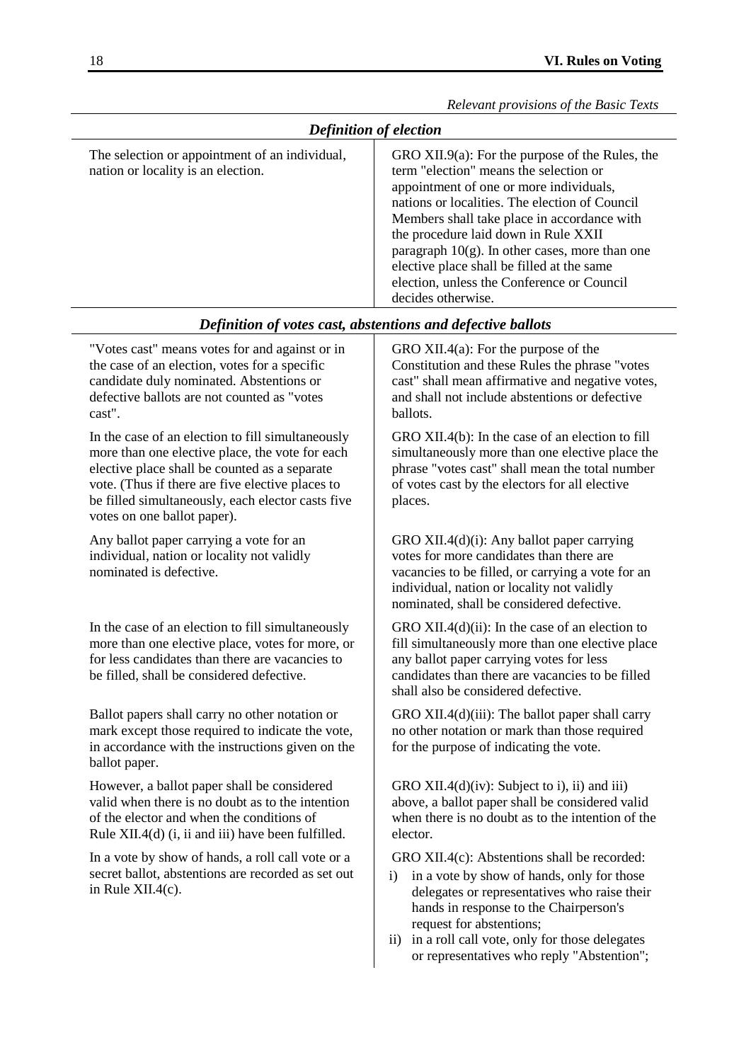<span id="page-17-0"></span>

| <b>Definition of election</b>                                                        |                                                                                                                                                                                                                                                                                                                                                                                                                                                      |  |
|--------------------------------------------------------------------------------------|------------------------------------------------------------------------------------------------------------------------------------------------------------------------------------------------------------------------------------------------------------------------------------------------------------------------------------------------------------------------------------------------------------------------------------------------------|--|
| The selection or appointment of an individual,<br>nation or locality is an election. | GRO XII.9(a): For the purpose of the Rules, the<br>term "election" means the selection or<br>appointment of one or more individuals,<br>nations or localities. The election of Council<br>Members shall take place in accordance with<br>the procedure laid down in Rule XXII<br>paragraph $10(g)$ . In other cases, more than one<br>elective place shall be filled at the same<br>election, unless the Conference or Council<br>decides otherwise. |  |

#### *Definition of votes cast, abstentions and defective ballots*

<span id="page-17-1"></span>"Votes cast" means votes for and against or in the case of an election, votes for a specific candidate duly nominated. Abstentions or defective ballots are not counted as "votes cast".

In the case of an election to fill simultaneously more than one elective place, the vote for each elective place shall be counted as a separate vote. (Thus if there are five elective places to be filled simultaneously, each elector casts five votes on one ballot paper).

Any ballot paper carrying a vote for an individual, nation or locality not validly nominated is defective.

In the case of an election to fill simultaneously more than one elective place, votes for more, or for less candidates than there are vacancies to be filled, shall be considered defective.

Ballot papers shall carry no other notation or mark except those required to indicate the vote, in accordance with the instructions given on the ballot paper.

However, a ballot paper shall be considered valid when there is no doubt as to the intention of the elector and when the conditions of Rule XII.4(d) (i, ii and iii) have been fulfilled.

In a vote by show of hands, a roll call vote or a secret ballot, abstentions are recorded as set out in Rule XII.4(c).

GRO XII.4(a): For the purpose of the Constitution and these Rules the phrase "votes cast" shall mean affirmative and negative votes, and shall not include abstentions or defective ballots.

GRO XII.4(b): In the case of an election to fill simultaneously more than one elective place the phrase "votes cast" shall mean the total number of votes cast by the electors for all elective places.

GRO XII.4(d)(i): Any ballot paper carrying votes for more candidates than there are vacancies to be filled, or carrying a vote for an individual, nation or locality not validly nominated, shall be considered defective.

GRO XII.4(d)(ii): In the case of an election to fill simultaneously more than one elective place any ballot paper carrying votes for less candidates than there are vacancies to be filled shall also be considered defective.

GRO XII.4(d)(iii): The ballot paper shall carry no other notation or mark than those required for the purpose of indicating the vote.

GRO XII.4(d)(iv): Subject to i), ii) and iii) above, a ballot paper shall be considered valid when there is no doubt as to the intention of the elector.

GRO XII.4(c): Abstentions shall be recorded:

- i) in a vote by show of hands, only for those delegates or representatives who raise their hands in response to the Chairperson's request for abstentions;
- ii) in a roll call vote, only for those delegates or representatives who reply "Abstention";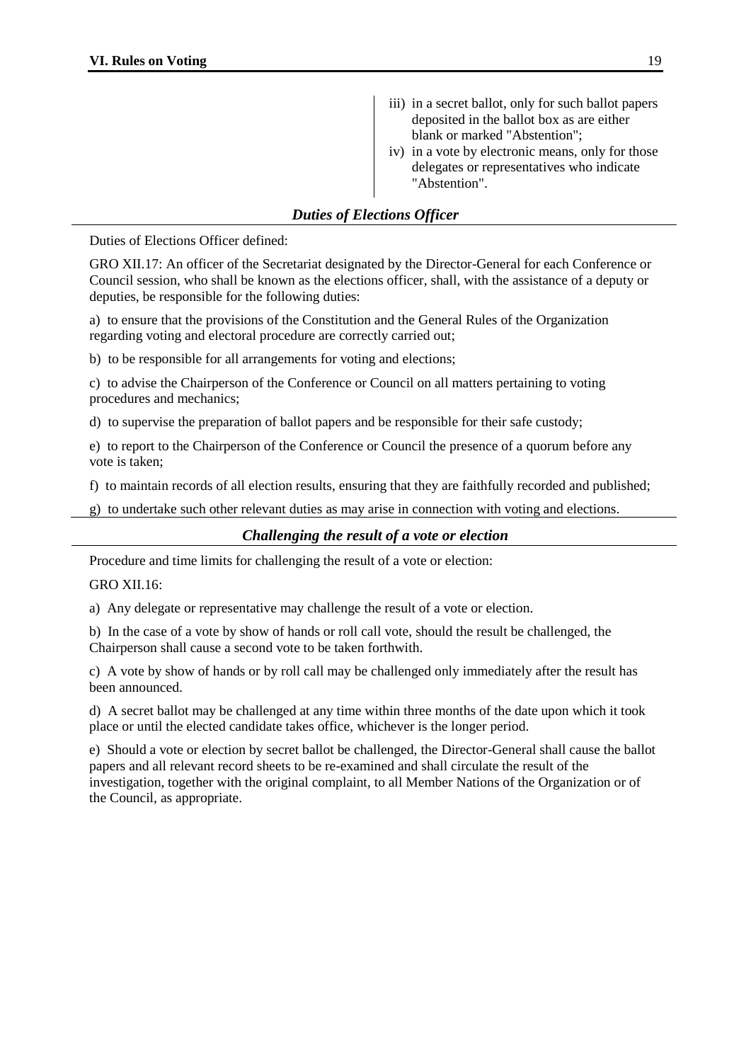- iii) in a secret ballot, only for such ballot papers deposited in the ballot box as are either blank or marked "Abstention";
- iv) in a vote by electronic means, only for those delegates or representatives who indicate "Abstention".

#### *Duties of Elections Officer*

<span id="page-18-0"></span>Duties of Elections Officer defined:

GRO XII.17: An officer of the Secretariat designated by the Director-General for each Conference or Council session, who shall be known as the elections officer, shall, with the assistance of a deputy or deputies, be responsible for the following duties:

a) to ensure that the provisions of the Constitution and the General Rules of the Organization regarding voting and electoral procedure are correctly carried out;

b) to be responsible for all arrangements for voting and elections;

c) to advise the Chairperson of the Conference or Council on all matters pertaining to voting procedures and mechanics;

d) to supervise the preparation of ballot papers and be responsible for their safe custody;

e) to report to the Chairperson of the Conference or Council the presence of a quorum before any vote is taken;

f) to maintain records of all election results, ensuring that they are faithfully recorded and published;

<span id="page-18-1"></span>g) to undertake such other relevant duties as may arise in connection with voting and elections.

#### *Challenging the result of a vote or election*

Procedure and time limits for challenging the result of a vote or election:

GRO XII.16:

a) Any delegate or representative may challenge the result of a vote or election.

b) In the case of a vote by show of hands or roll call vote, should the result be challenged, the Chairperson shall cause a second vote to be taken forthwith.

c) A vote by show of hands or by roll call may be challenged only immediately after the result has been announced.

d) A secret ballot may be challenged at any time within three months of the date upon which it took place or until the elected candidate takes office, whichever is the longer period.

e) Should a vote or election by secret ballot be challenged, the Director-General shall cause the ballot papers and all relevant record sheets to be re-examined and shall circulate the result of the investigation, together with the original complaint, to all Member Nations of the Organization or of the Council, as appropriate.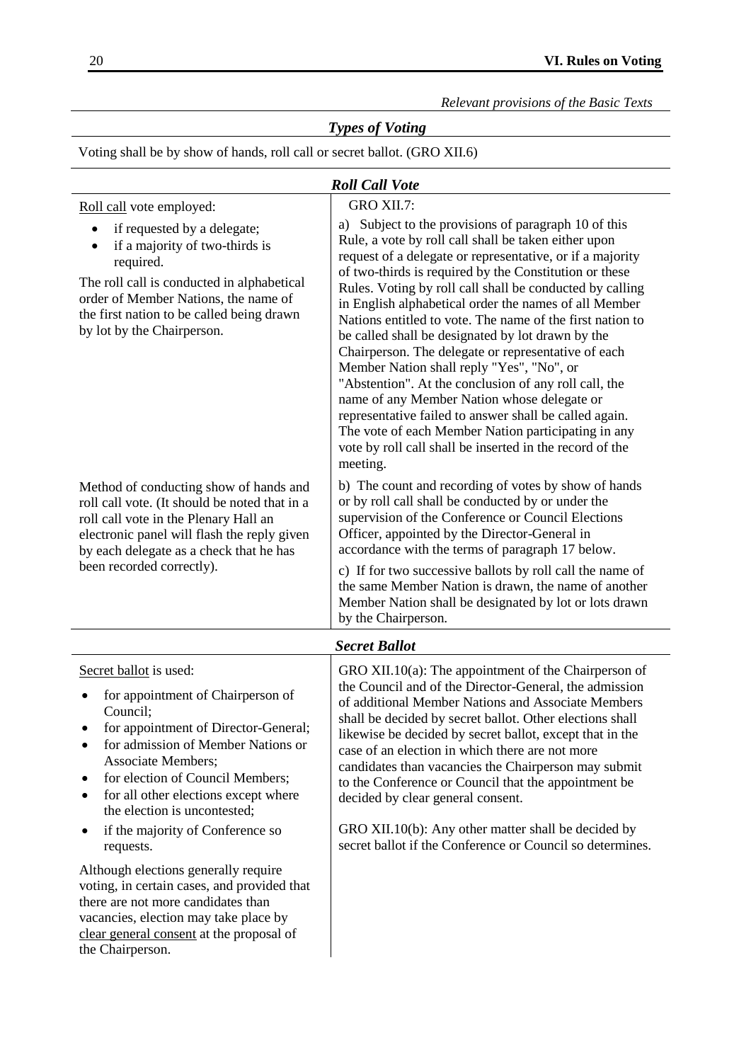# <span id="page-19-0"></span>*Types of Voting*

Voting shall be by show of hands, roll call or secret ballot. (GRO XII.6)

<span id="page-19-2"></span><span id="page-19-1"></span>

| <b>Roll Call Vote</b>                                                                                                                                                                                                                                                                                                                                                                                                                                                                                                                                                                                                     |                                                                                                                                                                                                                                                                                                                                                                                                                                                                                                                                                                                                                                                                                        |  |
|---------------------------------------------------------------------------------------------------------------------------------------------------------------------------------------------------------------------------------------------------------------------------------------------------------------------------------------------------------------------------------------------------------------------------------------------------------------------------------------------------------------------------------------------------------------------------------------------------------------------------|----------------------------------------------------------------------------------------------------------------------------------------------------------------------------------------------------------------------------------------------------------------------------------------------------------------------------------------------------------------------------------------------------------------------------------------------------------------------------------------------------------------------------------------------------------------------------------------------------------------------------------------------------------------------------------------|--|
| Roll call vote employed:                                                                                                                                                                                                                                                                                                                                                                                                                                                                                                                                                                                                  | GRO XII.7:                                                                                                                                                                                                                                                                                                                                                                                                                                                                                                                                                                                                                                                                             |  |
| if requested by a delegate;<br>if a majority of two-thirds is<br>٠<br>required.<br>The roll call is conducted in alphabetical<br>order of Member Nations, the name of<br>the first nation to be called being drawn<br>by lot by the Chairperson.                                                                                                                                                                                                                                                                                                                                                                          | a) Subject to the provisions of paragraph 10 of this<br>Rule, a vote by roll call shall be taken either upon<br>request of a delegate or representative, or if a majority<br>of two-thirds is required by the Constitution or these<br>Rules. Voting by roll call shall be conducted by calling<br>in English alphabetical order the names of all Member<br>Nations entitled to vote. The name of the first nation to<br>be called shall be designated by lot drawn by the<br>Chairperson. The delegate or representative of each<br>Member Nation shall reply "Yes", "No", or<br>"Abstention". At the conclusion of any roll call, the<br>name of any Member Nation whose delegate or |  |
|                                                                                                                                                                                                                                                                                                                                                                                                                                                                                                                                                                                                                           | representative failed to answer shall be called again.<br>The vote of each Member Nation participating in any<br>vote by roll call shall be inserted in the record of the<br>meeting.                                                                                                                                                                                                                                                                                                                                                                                                                                                                                                  |  |
| Method of conducting show of hands and<br>roll call vote. (It should be noted that in a<br>roll call vote in the Plenary Hall an<br>electronic panel will flash the reply given<br>by each delegate as a check that he has<br>been recorded correctly).                                                                                                                                                                                                                                                                                                                                                                   | b) The count and recording of votes by show of hands<br>or by roll call shall be conducted by or under the<br>supervision of the Conference or Council Elections<br>Officer, appointed by the Director-General in<br>accordance with the terms of paragraph 17 below.<br>c) If for two successive ballots by roll call the name of<br>the same Member Nation is drawn, the name of another<br>Member Nation shall be designated by lot or lots drawn<br>by the Chairperson.                                                                                                                                                                                                            |  |
|                                                                                                                                                                                                                                                                                                                                                                                                                                                                                                                                                                                                                           | <b>Secret Ballot</b>                                                                                                                                                                                                                                                                                                                                                                                                                                                                                                                                                                                                                                                                   |  |
| Secret ballot is used:<br>for appointment of Chairperson of<br>Council;<br>for appointment of Director-General;<br>for admission of Member Nations or<br>$\bullet$<br><b>Associate Members;</b><br>for election of Council Members;<br>٠<br>for all other elections except where<br>$\bullet$<br>the election is uncontested;<br>if the majority of Conference so<br>٠<br>requests.<br>Although elections generally require<br>voting, in certain cases, and provided that<br>there are not more candidates than<br>vacancies, election may take place by<br>clear general consent at the proposal of<br>the Chairperson. | GRO XII.10 $(a)$ : The appointment of the Chairperson of<br>the Council and of the Director-General, the admission<br>of additional Member Nations and Associate Members<br>shall be decided by secret ballot. Other elections shall<br>likewise be decided by secret ballot, except that in the<br>case of an election in which there are not more<br>candidates than vacancies the Chairperson may submit<br>to the Conference or Council that the appointment be<br>decided by clear general consent.<br>GRO XII.10(b): Any other matter shall be decided by<br>secret ballot if the Conference or Council so determines.                                                           |  |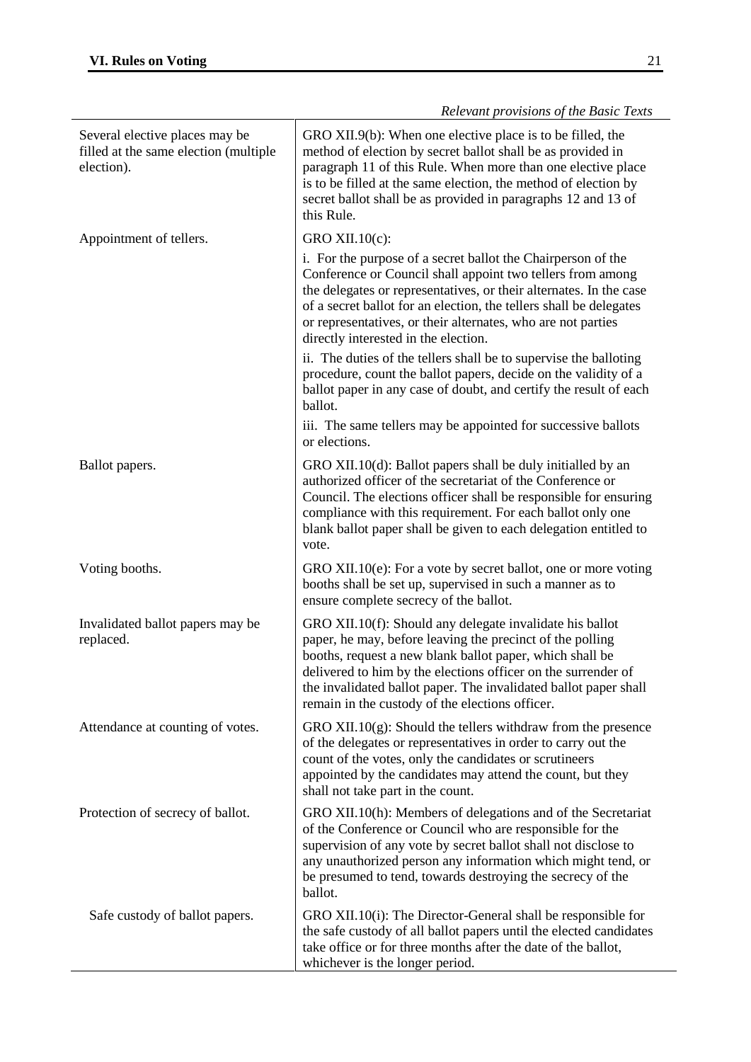|                                                                                       | Referant provisions of the basic Texts                                                                                                                                                                                                                                                                                                                                         |
|---------------------------------------------------------------------------------------|--------------------------------------------------------------------------------------------------------------------------------------------------------------------------------------------------------------------------------------------------------------------------------------------------------------------------------------------------------------------------------|
| Several elective places may be<br>filled at the same election (multiple<br>election). | GRO XII.9(b): When one elective place is to be filled, the<br>method of election by secret ballot shall be as provided in<br>paragraph 11 of this Rule. When more than one elective place<br>is to be filled at the same election, the method of election by<br>secret ballot shall be as provided in paragraphs 12 and 13 of<br>this Rule.                                    |
| Appointment of tellers.                                                               | GRO XII.10(c):                                                                                                                                                                                                                                                                                                                                                                 |
|                                                                                       | i. For the purpose of a secret ballot the Chairperson of the<br>Conference or Council shall appoint two tellers from among<br>the delegates or representatives, or their alternates. In the case<br>of a secret ballot for an election, the tellers shall be delegates<br>or representatives, or their alternates, who are not parties<br>directly interested in the election. |
|                                                                                       | ii. The duties of the tellers shall be to supervise the balloting<br>procedure, count the ballot papers, decide on the validity of a<br>ballot paper in any case of doubt, and certify the result of each<br>ballot.                                                                                                                                                           |
|                                                                                       | iii. The same tellers may be appointed for successive ballots<br>or elections.                                                                                                                                                                                                                                                                                                 |
| Ballot papers.                                                                        | GRO XII.10(d): Ballot papers shall be duly initialled by an<br>authorized officer of the secretariat of the Conference or<br>Council. The elections officer shall be responsible for ensuring<br>compliance with this requirement. For each ballot only one<br>blank ballot paper shall be given to each delegation entitled to<br>vote.                                       |
| Voting booths.                                                                        | GRO XII.10(e): For a vote by secret ballot, one or more voting<br>booths shall be set up, supervised in such a manner as to<br>ensure complete secrecy of the ballot.                                                                                                                                                                                                          |
| Invalidated ballot papers may be<br>replaced.                                         | GRO XII.10(f): Should any delegate invalidate his ballot<br>paper, he may, before leaving the precinct of the polling<br>booths, request a new blank ballot paper, which shall be<br>delivered to him by the elections officer on the surrender of<br>the invalidated ballot paper. The invalidated ballot paper shall<br>remain in the custody of the elections officer.      |
| Attendance at counting of votes.                                                      | GRO XII.10 $(g)$ : Should the tellers withdraw from the presence<br>of the delegates or representatives in order to carry out the<br>count of the votes, only the candidates or scrutineers<br>appointed by the candidates may attend the count, but they<br>shall not take part in the count.                                                                                 |
| Protection of secrecy of ballot.                                                      | GRO XII.10(h): Members of delegations and of the Secretariat<br>of the Conference or Council who are responsible for the<br>supervision of any vote by secret ballot shall not disclose to<br>any unauthorized person any information which might tend, or<br>be presumed to tend, towards destroying the secrecy of the<br>ballot.                                            |
| Safe custody of ballot papers.                                                        | GRO XII.10(i): The Director-General shall be responsible for<br>the safe custody of all ballot papers until the elected candidates<br>take office or for three months after the date of the ballot,<br>whichever is the longer period.                                                                                                                                         |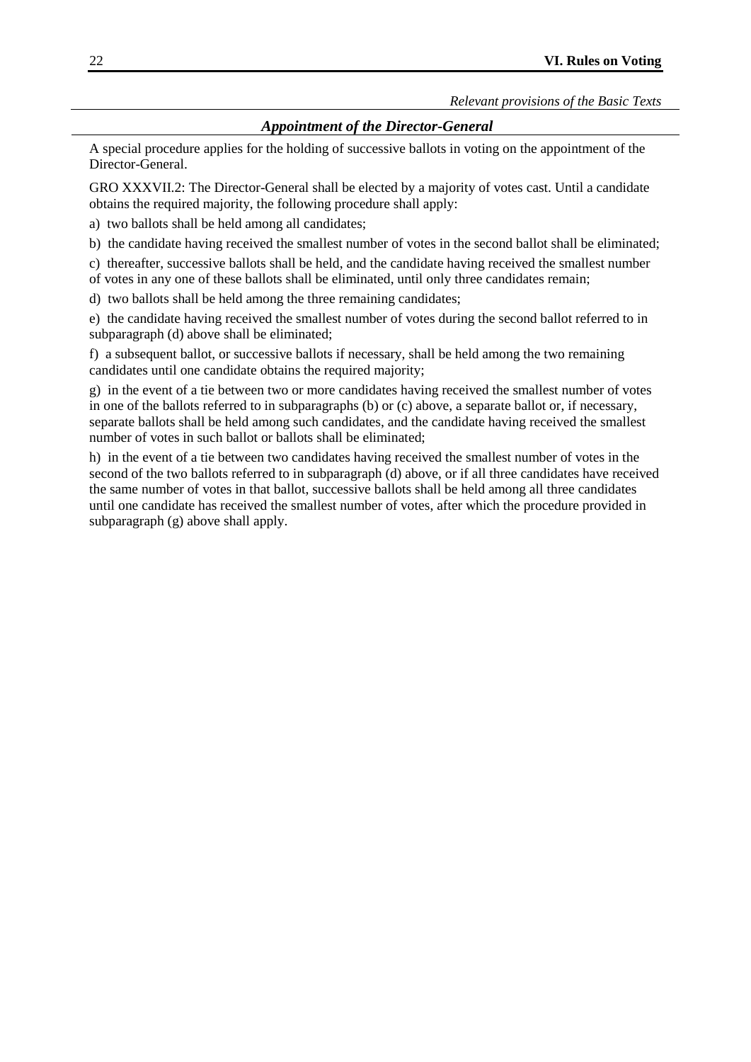#### <span id="page-21-0"></span>*Appointment of the Director-General*

A special procedure applies for the holding of successive ballots in voting on the appointment of the Director-General.

GRO XXXVII.2: The Director-General shall be elected by a majority of votes cast. Until a candidate obtains the required majority, the following procedure shall apply:

a) two ballots shall be held among all candidates;

b) the candidate having received the smallest number of votes in the second ballot shall be eliminated;

c) thereafter, successive ballots shall be held, and the candidate having received the smallest number of votes in any one of these ballots shall be eliminated, until only three candidates remain;

d) two ballots shall be held among the three remaining candidates;

e) the candidate having received the smallest number of votes during the second ballot referred to in subparagraph (d) above shall be eliminated;

f) a subsequent ballot, or successive ballots if necessary, shall be held among the two remaining candidates until one candidate obtains the required majority;

g) in the event of a tie between two or more candidates having received the smallest number of votes in one of the ballots referred to in subparagraphs (b) or (c) above, a separate ballot or, if necessary, separate ballots shall be held among such candidates, and the candidate having received the smallest number of votes in such ballot or ballots shall be eliminated;

h) in the event of a tie between two candidates having received the smallest number of votes in the second of the two ballots referred to in subparagraph (d) above, or if all three candidates have received the same number of votes in that ballot, successive ballots shall be held among all three candidates until one candidate has received the smallest number of votes, after which the procedure provided in subparagraph (g) above shall apply.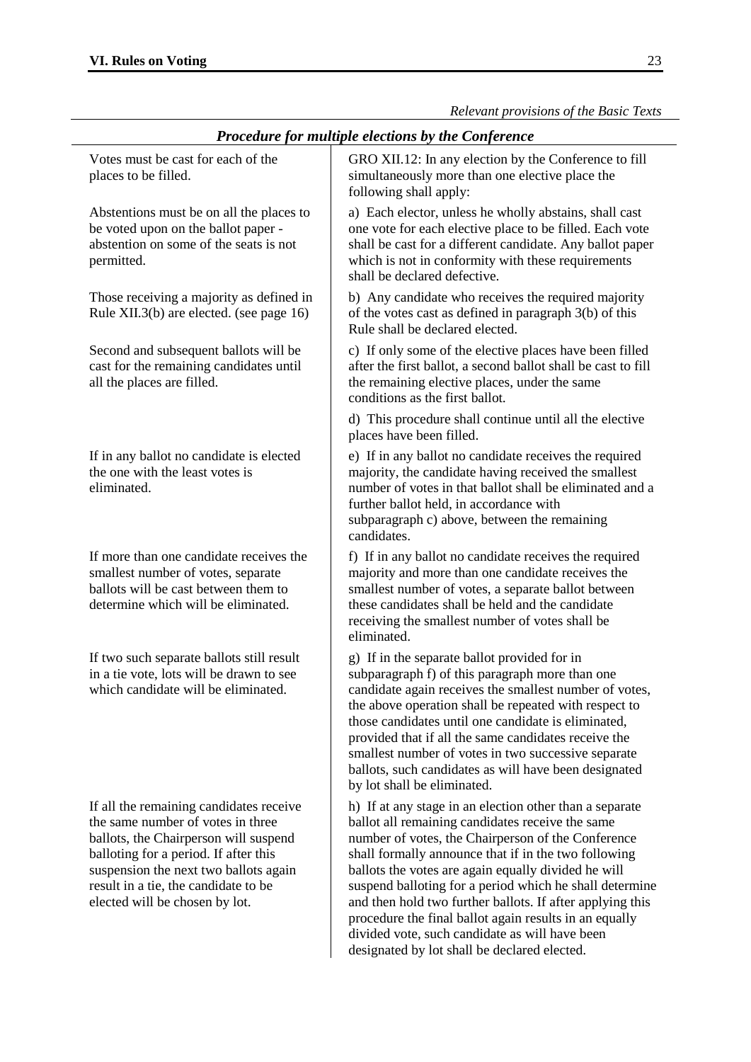<span id="page-22-0"></span>*Procedure for multiple elections by the Conference* Votes must be cast for each of the places to be filled. GRO XII.12: In any election by the Conference to fill simultaneously more than one elective place the following shall apply: Abstentions must be on all the places to be voted upon on the ballot paper abstention on some of the seats is not permitted. a) Each elector, unless he wholly abstains, shall cast one vote for each elective place to be filled. Each vote shall be cast for a different candidate. Any ballot paper which is not in conformity with these requirements shall be declared defective. Those receiving a majority as defined in Rule XII.3(b) are elected. (see page [16\)](#page-15-0) b) Any candidate who receives the required majority of the votes cast as defined in paragraph 3(b) of this Rule shall be declared elected. Second and subsequent ballots will be cast for the remaining candidates until all the places are filled. c) If only some of the elective places have been filled after the first ballot, a second ballot shall be cast to fill the remaining elective places, under the same conditions as the first ballot. d) This procedure shall continue until all the elective places have been filled. If in any ballot no candidate is elected the one with the least votes is eliminated. e) If in any ballot no candidate receives the required majority, the candidate having received the smallest number of votes in that ballot shall be eliminated and a further ballot held, in accordance with subparagraph c) above, between the remaining candidates. If more than one candidate receives the smallest number of votes, separate ballots will be cast between them to determine which will be eliminated. f) If in any ballot no candidate receives the required majority and more than one candidate receives the smallest number of votes, a separate ballot between these candidates shall be held and the candidate receiving the smallest number of votes shall be eliminated. If two such separate ballots still result in a tie vote, lots will be drawn to see which candidate will be eliminated. g) If in the separate ballot provided for in subparagraph f) of this paragraph more than one candidate again receives the smallest number of votes, the above operation shall be repeated with respect to those candidates until one candidate is eliminated, provided that if all the same candidates receive the smallest number of votes in two successive separate ballots, such candidates as will have been designated by lot shall be eliminated. If all the remaining candidates receive the same number of votes in three ballots, the Chairperson will suspend balloting for a period. If after this suspension the next two ballots again result in a tie, the candidate to be elected will be chosen by lot. h) If at any stage in an election other than a separate ballot all remaining candidates receive the same number of votes, the Chairperson of the Conference shall formally announce that if in the two following ballots the votes are again equally divided he will suspend balloting for a period which he shall determine and then hold two further ballots. If after applying this procedure the final ballot again results in an equally

> divided vote, such candidate as will have been designated by lot shall be declared elected.